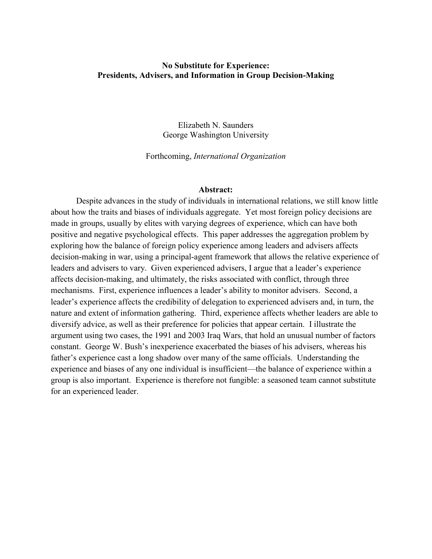## **No Substitute for Experience: Presidents, Advisers, and Information in Group Decision-Making**

Elizabeth N. Saunders George Washington University

Forthcoming, *International Organization*

## **Abstract:**

Despite advances in the study of individuals in international relations, we still know little about how the traits and biases of individuals aggregate. Yet most foreign policy decisions are made in groups, usually by elites with varying degrees of experience, which can have both positive and negative psychological effects. This paper addresses the aggregation problem by exploring how the balance of foreign policy experience among leaders and advisers affects decision-making in war, using a principal-agent framework that allows the relative experience of leaders and advisers to vary. Given experienced advisers, I argue that a leader's experience affects decision-making, and ultimately, the risks associated with conflict, through three mechanisms. First, experience influences a leader's ability to monitor advisers. Second, a leader's experience affects the credibility of delegation to experienced advisers and, in turn, the nature and extent of information gathering. Third, experience affects whether leaders are able to diversify advice, as well as their preference for policies that appear certain. I illustrate the argument using two cases, the 1991 and 2003 Iraq Wars, that hold an unusual number of factors constant. George W. Bush's inexperience exacerbated the biases of his advisers, whereas his father's experience cast a long shadow over many of the same officials. Understanding the experience and biases of any one individual is insufficient—the balance of experience within a group is also important. Experience is therefore not fungible: a seasoned team cannot substitute for an experienced leader.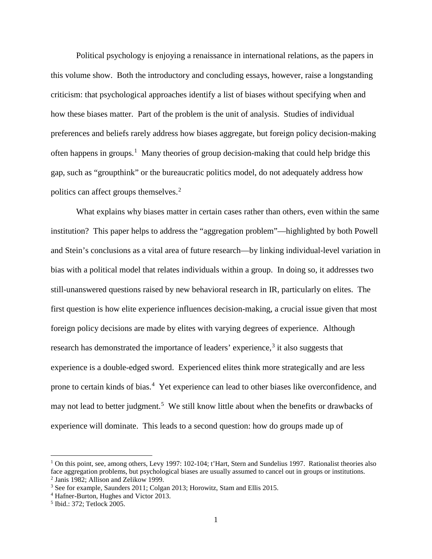Political psychology is enjoying a renaissance in international relations, as the papers in this volume show. Both the introductory and concluding essays, however, raise a longstanding criticism: that psychological approaches identify a list of biases without specifying when and how these biases matter. Part of the problem is the unit of analysis. Studies of individual preferences and beliefs rarely address how biases aggregate, but foreign policy decision-making often happens in groups.<sup>[1](#page-1-0)</sup> Many theories of group decision-making that could help bridge this gap, such as "groupthink" or the bureaucratic politics model, do not adequately address how politics can affect groups themselves.<sup>[2](#page-1-1)</sup>

What explains why biases matter in certain cases rather than others, even within the same institution? This paper helps to address the "aggregation problem"—highlighted by both Powell and Stein's conclusions as a vital area of future research—by linking individual-level variation in bias with a political model that relates individuals within a group. In doing so, it addresses two still-unanswered questions raised by new behavioral research in IR, particularly on elites. The first question is how elite experience influences decision-making, a crucial issue given that most foreign policy decisions are made by elites with varying degrees of experience. Although research has demonstrated the importance of leaders' experience,  $3$  it also suggests that experience is a double-edged sword. Experienced elites think more strategically and are less prone to certain kinds of bias.<sup>[4](#page-1-3)</sup> Yet experience can lead to other biases like overconfidence, and may not lead to better judgment.<sup>[5](#page-1-4)</sup> We still know little about when the benefits or drawbacks of experience will dominate. This leads to a second question: how do groups made up of

<span id="page-1-0"></span><sup>&</sup>lt;sup>1</sup> On this point, see, among others, Levy 1997: 102-104; t'Hart, Stern and Sundelius 1997. Rationalist theories also face aggregation problems, but psychological biases are usually assumed to cancel out in groups or institutions.<br><sup>2</sup> Janis 1982; Allison and Zelikow 1999.

<span id="page-1-2"></span><span id="page-1-1"></span><sup>&</sup>lt;sup>3</sup> See for example, Saunders 2011; Colgan 2013; Horowitz, Stam and Ellis 2015.

<span id="page-1-3"></span><sup>4</sup> Hafner-Burton, Hughes and Victor 2013.

<span id="page-1-4"></span><sup>5</sup> Ibid.: 372; Tetlock 2005.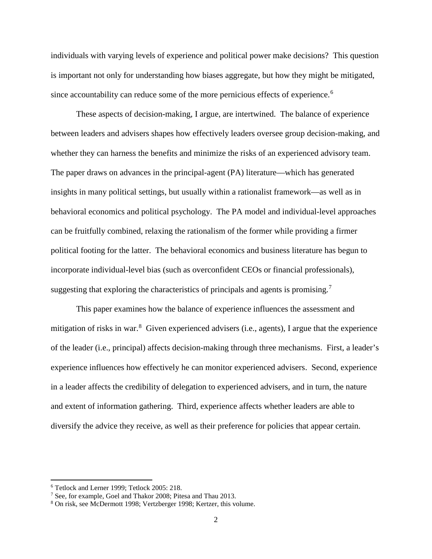individuals with varying levels of experience and political power make decisions? This question is important not only for understanding how biases aggregate, but how they might be mitigated, since accountability can reduce some of the more pernicious effects of experience. [6](#page-2-0)

These aspects of decision-making, I argue, are intertwined. The balance of experience between leaders and advisers shapes how effectively leaders oversee group decision-making, and whether they can harness the benefits and minimize the risks of an experienced advisory team. The paper draws on advances in the principal-agent (PA) literature—which has generated insights in many political settings, but usually within a rationalist framework—as well as in behavioral economics and political psychology. The PA model and individual-level approaches can be fruitfully combined, relaxing the rationalism of the former while providing a firmer political footing for the latter. The behavioral economics and business literature has begun to incorporate individual-level bias (such as overconfident CEOs or financial professionals), suggesting that exploring the characteristics of principals and agents is promising.<sup>[7](#page-2-1)</sup>

This paper examines how the balance of experience influences the assessment and mitigation of risks in war.<sup>[8](#page-2-2)</sup> Given experienced advisers (i.e., agents), I argue that the experience of the leader (i.e., principal) affects decision-making through three mechanisms. First, a leader's experience influences how effectively he can monitor experienced advisers. Second, experience in a leader affects the credibility of delegation to experienced advisers, and in turn, the nature and extent of information gathering. Third, experience affects whether leaders are able to diversify the advice they receive, as well as their preference for policies that appear certain.

<span id="page-2-0"></span><sup>6</sup> Tetlock and Lerner 1999; Tetlock 2005: 218.

<span id="page-2-1"></span><sup>&</sup>lt;sup>7</sup> See, for example, Goel and Thakor 2008; Pitesa and Thau 2013.

<span id="page-2-2"></span><sup>8</sup> On risk, see McDermott 1998; Vertzberger 1998; Kertzer, this volume.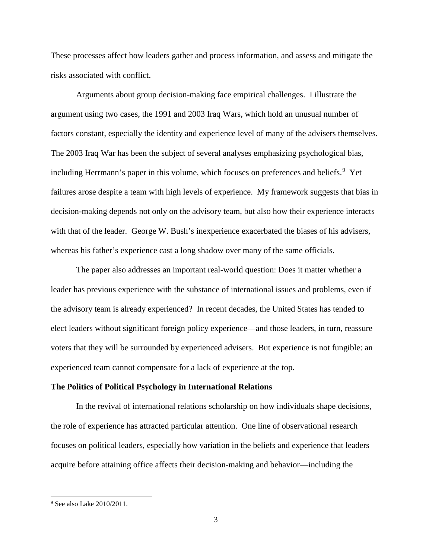These processes affect how leaders gather and process information, and assess and mitigate the risks associated with conflict.

Arguments about group decision-making face empirical challenges. I illustrate the argument using two cases, the 1991 and 2003 Iraq Wars, which hold an unusual number of factors constant, especially the identity and experience level of many of the advisers themselves. The 2003 Iraq War has been the subject of several analyses emphasizing psychological bias, including Herrmann's paper in this volume, which focuses on preferences and beliefs.<sup>[9](#page-3-0)</sup> Yet failures arose despite a team with high levels of experience. My framework suggests that bias in decision-making depends not only on the advisory team, but also how their experience interacts with that of the leader. George W. Bush's inexperience exacerbated the biases of his advisers, whereas his father's experience cast a long shadow over many of the same officials.

The paper also addresses an important real-world question: Does it matter whether a leader has previous experience with the substance of international issues and problems, even if the advisory team is already experienced? In recent decades, the United States has tended to elect leaders without significant foreign policy experience—and those leaders, in turn, reassure voters that they will be surrounded by experienced advisers. But experience is not fungible: an experienced team cannot compensate for a lack of experience at the top.

#### **The Politics of Political Psychology in International Relations**

In the revival of international relations scholarship on how individuals shape decisions, the role of experience has attracted particular attention. One line of observational research focuses on political leaders, especially how variation in the beliefs and experience that leaders acquire before attaining office affects their decision-making and behavior—including the

<span id="page-3-0"></span><sup>&</sup>lt;sup>9</sup> See also Lake 2010/2011.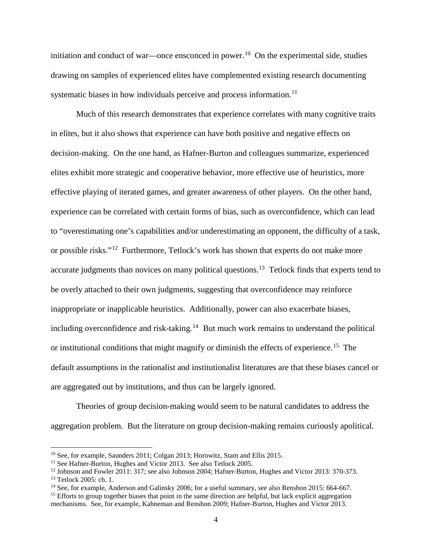initiation and conduct of war—once ensconced in power.[10](#page-4-0) On the experimental side, studies drawing on samples of experienced elites have complemented existing research documenting systematic biases in how individuals perceive and process information.<sup>11</sup>

Much of this research demonstrates that experience correlates with many cognitive traits in elites, but it also shows that experience can have both positive and negative effects on decision-making. On the one hand, as Hafner-Burton and colleagues summarize, experienced elites exhibit more strategic and cooperative behavior, more effective use of heuristics, more effective playing of iterated games, and greater awareness of other players. On the other hand, experience can be correlated with certain forms of bias, such as overconfidence, which can lead to "overestimating one's capabilities and/or underestimating an opponent, the difficulty of a task, or possible risks."[12](#page-4-2) Furthermore, Tetlock's work has shown that experts do not make more accurate judgments than novices on many political questions.<sup>[13](#page-4-3)</sup> Tetlock finds that experts tend to be overly attached to their own judgments, suggesting that overconfidence may reinforce inappropriate or inapplicable heuristics. Additionally, power can also exacerbate biases, including overconfidence and risk-taking.<sup>[14](#page-4-4)</sup> But much work remains to understand the political or institutional conditions that might magnify or diminish the effects of experience.<sup>15</sup> The default assumptions in the rationalist and institutionalist literatures are that these biases cancel or are aggregated out by institutions, and thus can be largely ignored.

Theories of group decision-making would seem to be natural candidates to address the aggregation problem. But the literature on group decision-making remains curiously apolitical.

<span id="page-4-0"></span><sup>10</sup> See, for example, Saunders 2011; Colgan 2013; Horowitz, Stam and Ellis 2015.

<span id="page-4-1"></span><sup>&</sup>lt;sup>11</sup> See Hafner-Burton, Hughes and Victor 2013. See also Tetlock 2005.

<span id="page-4-2"></span><sup>&</sup>lt;sup>12</sup> Johnson and Fowler 2011: 317; see also Johnson 2004; Hafner-Burton, Hughes and Victor 2013: 370-373.

<span id="page-4-3"></span><sup>&</sup>lt;sup>13</sup> Tetlock 2005: ch. 1.<br><sup>14</sup> See, for example, Anderson and Galinsky 2006; for a useful summary, see also Renshon 2015: 664-667.

<span id="page-4-5"></span><span id="page-4-4"></span><sup>&</sup>lt;sup>15</sup> Efforts to group together biases that point in the same direction are helpful, but lack explicit aggregation mechanisms. See, for example, Kahneman and Renshon 2009; Hafner-Burton, Hughes and Victor 2013.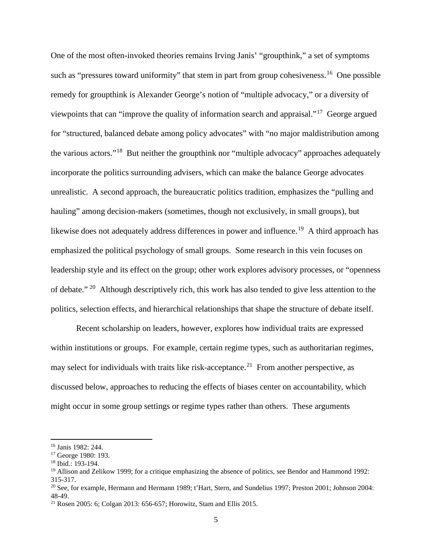One of the most often-invoked theories remains Irving Janis' "groupthink," a set of symptoms such as "pressures toward uniformity" that stem in part from group cohesiveness.<sup>[16](#page-5-0)</sup> One possible remedy for groupthink is Alexander George's notion of "multiple advocacy," or a diversity of viewpoints that can "improve the quality of information search and appraisal."[17](#page-5-1) George argued for "structured, balanced debate among policy advocates" with "no major maldistribution among the various actors."[18](#page-5-2) But neither the groupthink nor "multiple advocacy" approaches adequately incorporate the politics surrounding advisers, which can make the balance George advocates unrealistic. A second approach, the bureaucratic politics tradition, emphasizes the "pulling and hauling" among decision-makers (sometimes, though not exclusively, in small groups), but likewise does not adequately address differences in power and influence.<sup>19</sup> A third approach has emphasized the political psychology of small groups. Some research in this vein focuses on leadership style and its effect on the group; other work explores advisory processes, or "openness of debate." [20](#page-5-4) Although descriptively rich, this work has also tended to give less attention to the politics, selection effects, and hierarchical relationships that shape the structure of debate itself.

Recent scholarship on leaders, however, explores how individual traits are expressed within institutions or groups. For example, certain regime types, such as authoritarian regimes, may select for individuals with traits like risk-acceptance.<sup>21</sup> From another perspective, as discussed below, approaches to reducing the effects of biases center on accountability, which might occur in some group settings or regime types rather than others. These arguments

<span id="page-5-0"></span><sup>16</sup> Janis 1982: 244.

<span id="page-5-1"></span><sup>17</sup> George 1980: 193.

<span id="page-5-2"></span><sup>18</sup> Ibid.: 193-194.

<span id="page-5-3"></span> $19$  Allison and Zelikow 1999; for a critique emphasizing the absence of politics, see Bendor and Hammond 1992; 315-317.

<span id="page-5-4"></span> $20$  See, for example, Hermann and Hermann 1989; t'Hart, Stern, and Sundelius 1997; Preston 2001; Johnson 2004: 48-49.

<span id="page-5-5"></span><sup>21</sup> Rosen 2005: 6; Colgan 2013: 656-657; Horowitz, Stam and Ellis 2015.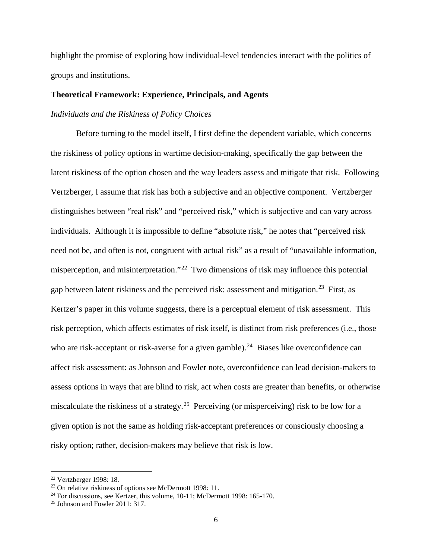highlight the promise of exploring how individual-level tendencies interact with the politics of groups and institutions.

## **Theoretical Framework: Experience, Principals, and Agents**

## *Individuals and the Riskiness of Policy Choices*

Before turning to the model itself, I first define the dependent variable, which concerns the riskiness of policy options in wartime decision-making, specifically the gap between the latent riskiness of the option chosen and the way leaders assess and mitigate that risk. Following Vertzberger, I assume that risk has both a subjective and an objective component. Vertzberger distinguishes between "real risk" and "perceived risk," which is subjective and can vary across individuals. Although it is impossible to define "absolute risk," he notes that "perceived risk need not be, and often is not, congruent with actual risk" as a result of "unavailable information, misperception, and misinterpretation."[22](#page-6-0) Two dimensions of risk may influence this potential gap between latent riskiness and the perceived risk: assessment and mitigation.<sup>23</sup> First, as Kertzer's paper in this volume suggests, there is a perceptual element of risk assessment. This risk perception, which affects estimates of risk itself, is distinct from risk preferences (i.e., those who are risk-acceptant or risk-averse for a given gamble).<sup>[24](#page-6-2)</sup> Biases like overconfidence can affect risk assessment: as Johnson and Fowler note, overconfidence can lead decision-makers to assess options in ways that are blind to risk, act when costs are greater than benefits, or otherwise miscalculate the riskiness of a strategy.<sup>25</sup> Perceiving (or misperceiving) risk to be low for a given option is not the same as holding risk-acceptant preferences or consciously choosing a risky option; rather, decision-makers may believe that risk is low.

<span id="page-6-1"></span><span id="page-6-0"></span><sup>&</sup>lt;sup>22</sup> Vertzberger 1998: 18.<br><sup>23</sup> On relative riskiness of options see McDermott 1998: 11.

<span id="page-6-2"></span> $24$  For discussions, see Kertzer, this volume, 10-11; McDermott 1998: 165-170.

<span id="page-6-3"></span><sup>25</sup> Johnson and Fowler 2011: 317.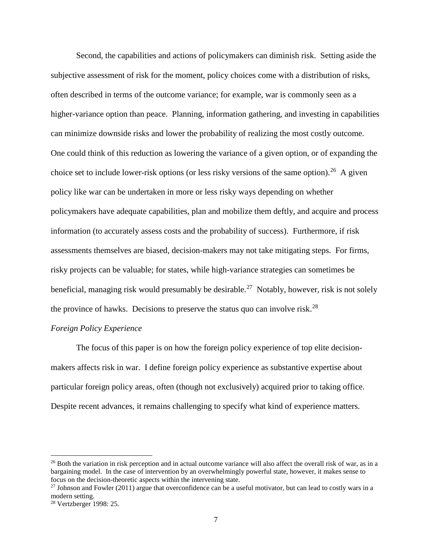Second, the capabilities and actions of policymakers can diminish risk. Setting aside the subjective assessment of risk for the moment, policy choices come with a distribution of risks, often described in terms of the outcome variance; for example, war is commonly seen as a higher-variance option than peace. Planning, information gathering, and investing in capabilities can minimize downside risks and lower the probability of realizing the most costly outcome. One could think of this reduction as lowering the variance of a given option, or of expanding the choice set to include lower-risk options (or less risky versions of the same option).<sup>[26](#page-7-0)</sup> A given policy like war can be undertaken in more or less risky ways depending on whether policymakers have adequate capabilities, plan and mobilize them deftly, and acquire and process information (to accurately assess costs and the probability of success). Furthermore, if risk assessments themselves are biased, decision-makers may not take mitigating steps. For firms, risky projects can be valuable; for states, while high-variance strategies can sometimes be beneficial, managing risk would presumably be desirable.<sup>27</sup> Notably, however, risk is not solely the province of hawks. Decisions to preserve the status quo can involve risk.<sup>28</sup>

## *Foreign Policy Experience*

The focus of this paper is on how the foreign policy experience of top elite decisionmakers affects risk in war. I define foreign policy experience as substantive expertise about particular foreign policy areas, often (though not exclusively) acquired prior to taking office. Despite recent advances, it remains challenging to specify what kind of experience matters.

<span id="page-7-0"></span><sup>&</sup>lt;sup>26</sup> Both the variation in risk perception and in actual outcome variance will also affect the overall risk of war, as in a bargaining model. In the case of intervention by an overwhelmingly powerful state, however, it makes sense to focus on the decision-theoretic aspects within the intervening state.

<span id="page-7-1"></span> $27$  Johnson and Fowler (2011) argue that overconfidence can be a useful motivator, but can lead to costly wars in a modern setting.

<span id="page-7-2"></span><sup>28</sup> Vertzberger 1998: 25.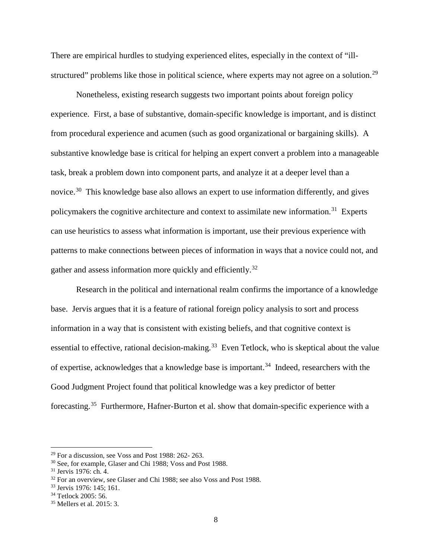There are empirical hurdles to studying experienced elites, especially in the context of "illstructured" problems like those in political science, where experts may not agree on a solution.<sup>29</sup>

Nonetheless, existing research suggests two important points about foreign policy experience. First, a base of substantive, domain-specific knowledge is important, and is distinct from procedural experience and acumen (such as good organizational or bargaining skills). A substantive knowledge base is critical for helping an expert convert a problem into a manageable task, break a problem down into component parts, and analyze it at a deeper level than a novice.<sup>30</sup> This knowledge base also allows an expert to use information differently, and gives policymakers the cognitive architecture and context to assimilate new information.<sup>31</sup> Experts can use heuristics to assess what information is important, use their previous experience with patterns to make connections between pieces of information in ways that a novice could not, and gather and assess information more quickly and efficiently.<sup>[32](#page-8-3)</sup>

Research in the political and international realm confirms the importance of a knowledge base. Jervis argues that it is a feature of rational foreign policy analysis to sort and process information in a way that is consistent with existing beliefs, and that cognitive context is essential to effective, rational decision-making.<sup>33</sup> Even Tetlock, who is skeptical about the value of expertise, acknowledges that a knowledge base is important.<sup>34</sup> Indeed, researchers with the Good Judgment Project found that political knowledge was a key predictor of better forecasting.<sup>[35](#page-8-6)</sup> Furthermore, Hafner-Burton et al. show that domain-specific experience with a

<span id="page-8-0"></span> $29$  For a discussion, see Voss and Post 1988: 262- 263.<br> $30$  See, for example, Glaser and Chi 1988; Voss and Post 1988.

<span id="page-8-3"></span><span id="page-8-2"></span><span id="page-8-1"></span> $31$  Jervis 1976: ch. 4.<br> $32$  For an overview, see Glaser and Chi 1988; see also Voss and Post 1988.

<span id="page-8-4"></span><sup>33</sup> Jervis 1976: 145; 161.

<span id="page-8-5"></span><sup>34</sup> Tetlock 2005: 56.

<span id="page-8-6"></span><sup>35</sup> Mellers et al. 2015: 3.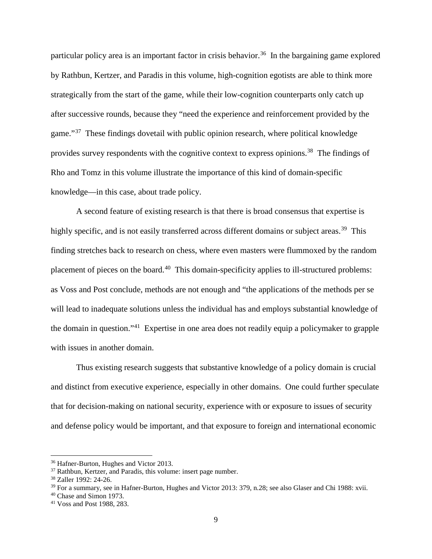particular policy area is an important factor in crisis behavior.<sup>[36](#page-9-0)</sup> In the bargaining game explored by Rathbun, Kertzer, and Paradis in this volume, high-cognition egotists are able to think more strategically from the start of the game, while their low-cognition counterparts only catch up after successive rounds, because they "need the experience and reinforcement provided by the game."<sup>37</sup> These findings dovetail with public opinion research, where political knowledge provides survey respondents with the cognitive context to express opinions.<sup>38</sup> The findings of Rho and Tomz in this volume illustrate the importance of this kind of domain-specific knowledge—in this case, about trade policy.

A second feature of existing research is that there is broad consensus that expertise is highly specific, and is not easily transferred across different domains or subject areas.<sup>39</sup> This finding stretches back to research on chess, where even masters were flummoxed by the random placement of pieces on the board.<sup>40</sup> This domain-specificity applies to ill-structured problems: as Voss and Post conclude, methods are not enough and "the applications of the methods per se will lead to inadequate solutions unless the individual has and employs substantial knowledge of the domain in question."[41](#page-9-5) Expertise in one area does not readily equip a policymaker to grapple with issues in another domain.

Thus existing research suggests that substantive knowledge of a policy domain is crucial and distinct from executive experience, especially in other domains. One could further speculate that for decision-making on national security, experience with or exposure to issues of security and defense policy would be important, and that exposure to foreign and international economic

<span id="page-9-0"></span><sup>36</sup> Hafner-Burton, Hughes and Victor 2013.

<span id="page-9-1"></span><sup>&</sup>lt;sup>37</sup> Rathbun, Kertzer, and Paradis, this volume: insert page number.

<span id="page-9-2"></span><sup>38</sup> Zaller 1992: 24-26.

<span id="page-9-3"></span><sup>39</sup> For a summary, see in Hafner-Burton, Hughes and Victor 2013: 379, n.28; see also Glaser and Chi 1988: xvii.

<span id="page-9-4"></span> $40$  Chase and Simon 1973.

<span id="page-9-5"></span><sup>41</sup> Voss and Post 1988, 283.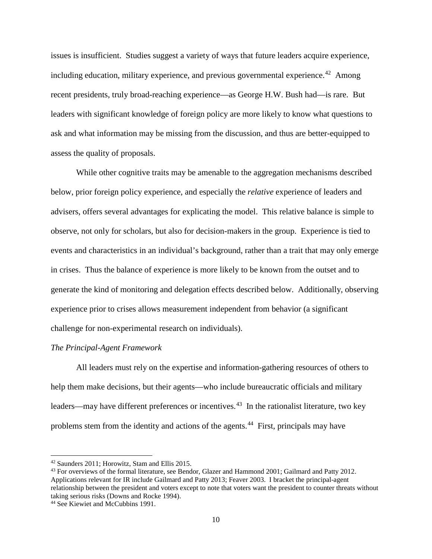issues is insufficient. Studies suggest a variety of ways that future leaders acquire experience, including education, military experience, and previous governmental experience.<sup>[42](#page-10-0)</sup> Among recent presidents, truly broad-reaching experience—as George H.W. Bush had—is rare. But leaders with significant knowledge of foreign policy are more likely to know what questions to ask and what information may be missing from the discussion, and thus are better-equipped to assess the quality of proposals.

While other cognitive traits may be amenable to the aggregation mechanisms described below, prior foreign policy experience, and especially the *relative* experience of leaders and advisers, offers several advantages for explicating the model. This relative balance is simple to observe, not only for scholars, but also for decision-makers in the group. Experience is tied to events and characteristics in an individual's background, rather than a trait that may only emerge in crises. Thus the balance of experience is more likely to be known from the outset and to generate the kind of monitoring and delegation effects described below. Additionally, observing experience prior to crises allows measurement independent from behavior (a significant challenge for non-experimental research on individuals).

#### *The Principal-Agent Framework*

All leaders must rely on the expertise and information-gathering resources of others to help them make decisions, but their agents—who include bureaucratic officials and military leaders—may have different preferences or incentives. $43$  In the rationalist literature, two key problems stem from the identity and actions of the agents.<sup>[44](#page-10-2)</sup> First, principals may have

<span id="page-10-0"></span><sup>42</sup> Saunders 2011; Horowitz, Stam and Ellis 2015.

<span id="page-10-1"></span><sup>&</sup>lt;sup>43</sup> For overviews of the formal literature, see Bendor, Glazer and Hammond 2001; Gailmard and Patty 2012. Applications relevant for IR include Gailmard and Patty 2013; Feaver 2003. I bracket the principal-agent relationship between the president and voters except to note that voters want the president to counter threats without taking serious risks (Downs and Rocke 1994).

<span id="page-10-2"></span><sup>44</sup> See Kiewiet and McCubbins 1991.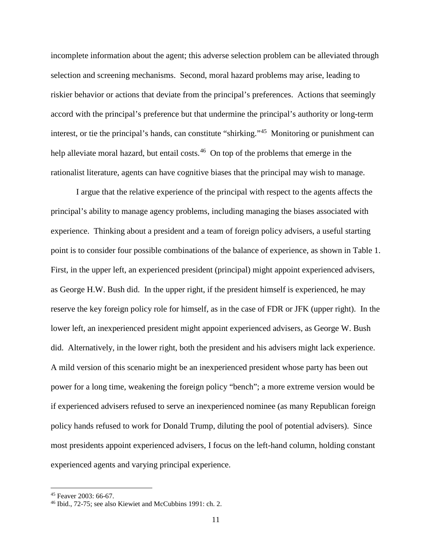incomplete information about the agent; this adverse selection problem can be alleviated through selection and screening mechanisms. Second, moral hazard problems may arise, leading to riskier behavior or actions that deviate from the principal's preferences. Actions that seemingly accord with the principal's preference but that undermine the principal's authority or long-term interest, or tie the principal's hands, can constitute "shirking."[45](#page-11-0) Monitoring or punishment can help alleviate moral hazard, but entail costs.<sup>46</sup> On top of the problems that emerge in the rationalist literature, agents can have cognitive biases that the principal may wish to manage.

I argue that the relative experience of the principal with respect to the agents affects the principal's ability to manage agency problems, including managing the biases associated with experience. Thinking about a president and a team of foreign policy advisers, a useful starting point is to consider four possible combinations of the balance of experience, as shown in Table 1. First, in the upper left, an experienced president (principal) might appoint experienced advisers, as George H.W. Bush did. In the upper right, if the president himself is experienced, he may reserve the key foreign policy role for himself, as in the case of FDR or JFK (upper right). In the lower left, an inexperienced president might appoint experienced advisers, as George W. Bush did. Alternatively, in the lower right, both the president and his advisers might lack experience. A mild version of this scenario might be an inexperienced president whose party has been out power for a long time, weakening the foreign policy "bench"; a more extreme version would be if experienced advisers refused to serve an inexperienced nominee (as many Republican foreign policy hands refused to work for Donald Trump, diluting the pool of potential advisers). Since most presidents appoint experienced advisers, I focus on the left-hand column, holding constant experienced agents and varying principal experience.

<span id="page-11-0"></span><sup>45</sup> Feaver 2003: 66-67.

<span id="page-11-1"></span><sup>46</sup> Ibid., 72-75; see also Kiewiet and McCubbins 1991: ch. 2.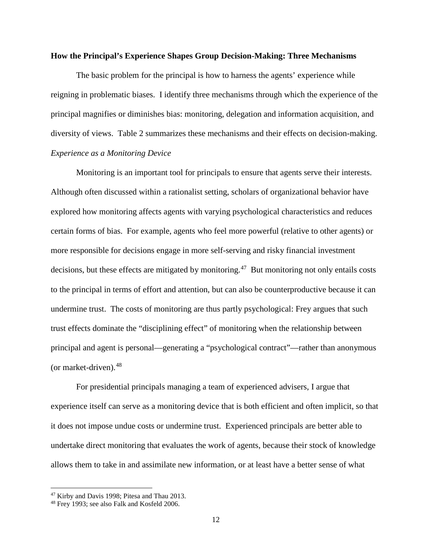#### **How the Principal's Experience Shapes Group Decision-Making: Three Mechanisms**

The basic problem for the principal is how to harness the agents' experience while reigning in problematic biases. I identify three mechanisms through which the experience of the principal magnifies or diminishes bias: monitoring, delegation and information acquisition, and diversity of views. Table 2 summarizes these mechanisms and their effects on decision-making. *Experience as a Monitoring Device*

Monitoring is an important tool for principals to ensure that agents serve their interests. Although often discussed within a rationalist setting, scholars of organizational behavior have explored how monitoring affects agents with varying psychological characteristics and reduces certain forms of bias. For example, agents who feel more powerful (relative to other agents) or more responsible for decisions engage in more self-serving and risky financial investment decisions, but these effects are mitigated by monitoring.<sup>47</sup> But monitoring not only entails costs to the principal in terms of effort and attention, but can also be counterproductive because it can undermine trust. The costs of monitoring are thus partly psychological: Frey argues that such trust effects dominate the "disciplining effect" of monitoring when the relationship between principal and agent is personal—generating a "psychological contract"—rather than anonymous (or market-driven).  $48$ 

For presidential principals managing a team of experienced advisers, I argue that experience itself can serve as a monitoring device that is both efficient and often implicit, so that it does not impose undue costs or undermine trust. Experienced principals are better able to undertake direct monitoring that evaluates the work of agents, because their stock of knowledge allows them to take in and assimilate new information, or at least have a better sense of what

<span id="page-12-0"></span><sup>47</sup> Kirby and Davis 1998; Pitesa and Thau 2013.

<span id="page-12-1"></span><sup>48</sup> Frey 1993; see also Falk and Kosfeld 2006.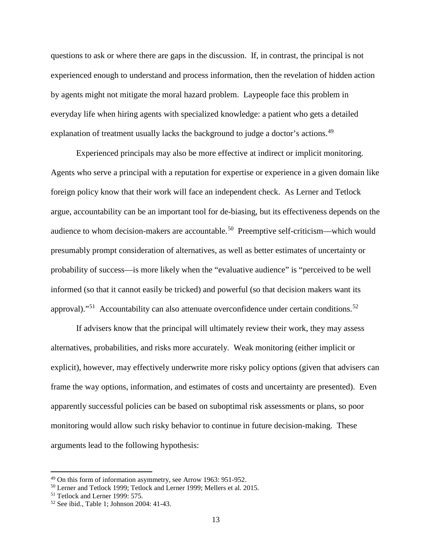questions to ask or where there are gaps in the discussion. If, in contrast, the principal is not experienced enough to understand and process information, then the revelation of hidden action by agents might not mitigate the moral hazard problem. Laypeople face this problem in everyday life when hiring agents with specialized knowledge: a patient who gets a detailed explanation of treatment usually lacks the background to judge a doctor's actions.<sup>[49](#page-13-0)</sup>

Experienced principals may also be more effective at indirect or implicit monitoring. Agents who serve a principal with a reputation for expertise or experience in a given domain like foreign policy know that their work will face an independent check. As Lerner and Tetlock argue, accountability can be an important tool for de-biasing, but its effectiveness depends on the audience to whom decision-makers are accountable.<sup>[50](#page-13-1)</sup> Preemptive self-criticism—which would presumably prompt consideration of alternatives, as well as better estimates of uncertainty or probability of success—is more likely when the "evaluative audience" is "perceived to be well informed (so that it cannot easily be tricked) and powerful (so that decision makers want its approval)."<sup>[51](#page-13-2)</sup> Accountability can also attenuate overconfidence under certain conditions.<sup>[52](#page-13-3)</sup>

If advisers know that the principal will ultimately review their work, they may assess alternatives, probabilities, and risks more accurately. Weak monitoring (either implicit or explicit), however, may effectively underwrite more risky policy options (given that advisers can frame the way options, information, and estimates of costs and uncertainty are presented). Even apparently successful policies can be based on suboptimal risk assessments or plans, so poor monitoring would allow such risky behavior to continue in future decision-making. These arguments lead to the following hypothesis:

<span id="page-13-0"></span><sup>49</sup> On this form of information asymmetry, see Arrow 1963: 951-952.

<span id="page-13-1"></span><sup>50</sup> Lerner and Tetlock 1999; Tetlock and Lerner 1999; Mellers et al. 2015.

<span id="page-13-2"></span><sup>&</sup>lt;sup>51</sup> Tetlock and Lerner 1999: 575.

<span id="page-13-3"></span><sup>52</sup> See ibid., Table 1; Johnson 2004: 41-43.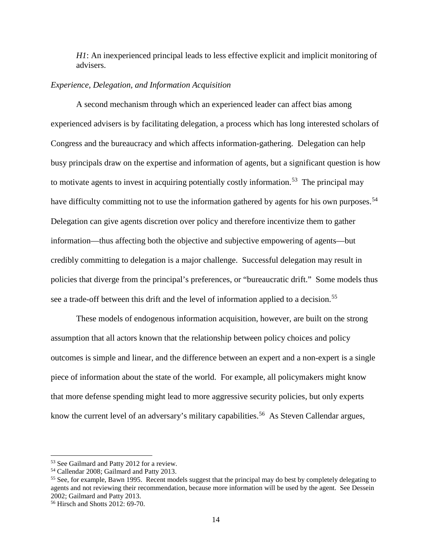*H1*: An inexperienced principal leads to less effective explicit and implicit monitoring of advisers.

## *Experience, Delegation, and Information Acquisition*

A second mechanism through which an experienced leader can affect bias among experienced advisers is by facilitating delegation, a process which has long interested scholars of Congress and the bureaucracy and which affects information-gathering. Delegation can help busy principals draw on the expertise and information of agents, but a significant question is how to motivate agents to invest in acquiring potentially costly information.<sup>53</sup> The principal may have difficulty committing not to use the information gathered by agents for his own purposes.<sup>54</sup> Delegation can give agents discretion over policy and therefore incentivize them to gather information—thus affecting both the objective and subjective empowering of agents—but credibly committing to delegation is a major challenge. Successful delegation may result in policies that diverge from the principal's preferences, or "bureaucratic drift." Some models thus see a trade-off between this drift and the level of information applied to a decision.<sup>[55](#page-14-2)</sup>

These models of endogenous information acquisition, however, are built on the strong assumption that all actors known that the relationship between policy choices and policy outcomes is simple and linear, and the difference between an expert and a non-expert is a single piece of information about the state of the world. For example, all policymakers might know that more defense spending might lead to more aggressive security policies, but only experts know the current level of an adversary's military capabilities.<sup>[56](#page-14-3)</sup> As Steven Callendar argues,

<span id="page-14-0"></span><sup>53</sup> See Gailmard and Patty 2012 for a review.

<span id="page-14-1"></span><sup>54</sup> Callendar 2008; Gailmard and Patty 2013.

<span id="page-14-2"></span><sup>&</sup>lt;sup>55</sup> See, for example, Bawn 1995. Recent models suggest that the principal may do best by completely delegating to agents and not reviewing their recommendation, because more information will be used by the agent. See Dessein 2002; Gailmard and Patty 2013.

<span id="page-14-3"></span><sup>56</sup> Hirsch and Shotts 2012: 69-70.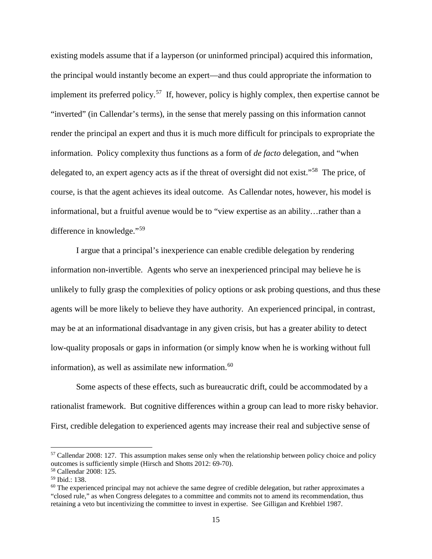existing models assume that if a layperson (or uninformed principal) acquired this information, the principal would instantly become an expert—and thus could appropriate the information to implement its preferred policy.[57](#page-15-0) If, however, policy is highly complex, then expertise cannot be "inverted" (in Callendar's terms), in the sense that merely passing on this information cannot render the principal an expert and thus it is much more difficult for principals to expropriate the information. Policy complexity thus functions as a form of *de facto* delegation, and "when delegated to, an expert agency acts as if the threat of oversight did not exist."<sup>58</sup> The price, of course, is that the agent achieves its ideal outcome. As Callendar notes, however, his model is informational, but a fruitful avenue would be to "view expertise as an ability…rather than a difference in knowledge."[59](#page-15-2)

I argue that a principal's inexperience can enable credible delegation by rendering information non-invertible. Agents who serve an inexperienced principal may believe he is unlikely to fully grasp the complexities of policy options or ask probing questions, and thus these agents will be more likely to believe they have authority. An experienced principal, in contrast, may be at an informational disadvantage in any given crisis, but has a greater ability to detect low-quality proposals or gaps in information (or simply know when he is working without full information), as well as assimilate new information. [60](#page-15-3) 

Some aspects of these effects, such as bureaucratic drift, could be accommodated by a rationalist framework. But cognitive differences within a group can lead to more risky behavior. First, credible delegation to experienced agents may increase their real and subjective sense of

<span id="page-15-0"></span><sup>57</sup> Callendar 2008: 127. This assumption makes sense only when the relationship between policy choice and policy outcomes is sufficiently simple (Hirsch and Shotts 2012: 69-70).

<span id="page-15-1"></span><sup>58</sup> Callendar 2008: 125.

<span id="page-15-2"></span><sup>59</sup> Ibid.: 138.

<span id="page-15-3"></span> $60$  The experienced principal may not achieve the same degree of credible delegation, but rather approximates a "closed rule," as when Congress delegates to a committee and commits not to amend its recommendation, thus retaining a veto but incentivizing the committee to invest in expertise. See Gilligan and Krehbiel 1987.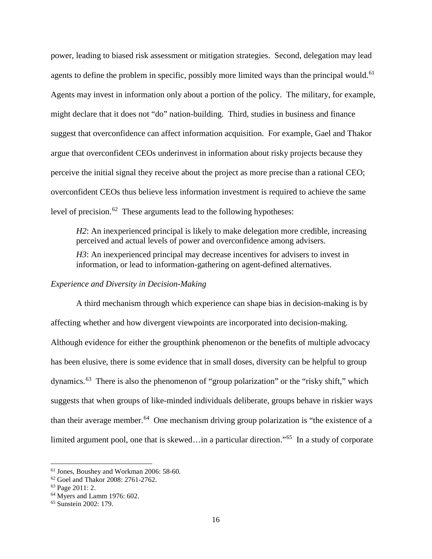power, leading to biased risk assessment or mitigation strategies. Second, delegation may lead agents to define the problem in specific, possibly more limited ways than the principal would.<sup>[61](#page-16-0)</sup> Agents may invest in information only about a portion of the policy. The military, for example, might declare that it does not "do" nation-building. Third, studies in business and finance suggest that overconfidence can affect information acquisition. For example, Gael and Thakor argue that overconfident CEOs underinvest in information about risky projects because they perceive the initial signal they receive about the project as more precise than a rational CEO; overconfident CEOs thus believe less information investment is required to achieve the same level of precision.<sup>[62](#page-16-1)</sup> These arguments lead to the following hypotheses:

*H2*: An inexperienced principal is likely to make delegation more credible, increasing perceived and actual levels of power and overconfidence among advisers. *H3*: An inexperienced principal may decrease incentives for advisers to invest in information, or lead to information-gathering on agent-defined alternatives.

## *Experience and Diversity in Decision-Making*

A third mechanism through which experience can shape bias in decision-making is by affecting whether and how divergent viewpoints are incorporated into decision-making. Although evidence for either the groupthink phenomenon or the benefits of multiple advocacy has been elusive, there is some evidence that in small doses, diversity can be helpful to group dynamics.[63](#page-16-2) There is also the phenomenon of "group polarization" or the "risky shift," which suggests that when groups of like-minded individuals deliberate, groups behave in riskier ways than their average member.<sup>[64](#page-16-3)</sup> One mechanism driving group polarization is "the existence of a limited argument pool, one that is skewed...in a particular direction."<sup>[65](#page-16-4)</sup> In a study of corporate

<span id="page-16-0"></span><sup>61</sup> Jones, Boushey and Workman 2006: 58-60.

<span id="page-16-1"></span> $62$  Goel and Thakor 2008: 2761-2762.<br>  $63$  Page 2011: 2.

<span id="page-16-4"></span><span id="page-16-3"></span><span id="page-16-2"></span><sup>&</sup>lt;sup>64</sup> Myers and Lamm 1976: 602.<br><sup>65</sup> Sunstein 2002: 179.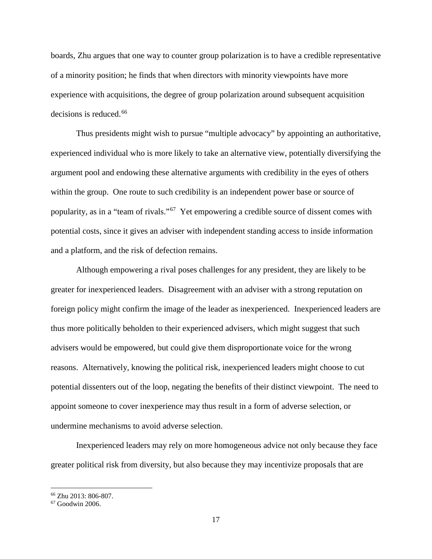boards, Zhu argues that one way to counter group polarization is to have a credible representative of a minority position; he finds that when directors with minority viewpoints have more experience with acquisitions, the degree of group polarization around subsequent acquisition  $decisions$  is reduced.<sup>[66](#page-17-0)</sup>

Thus presidents might wish to pursue "multiple advocacy" by appointing an authoritative, experienced individual who is more likely to take an alternative view, potentially diversifying the argument pool and endowing these alternative arguments with credibility in the eyes of others within the group. One route to such credibility is an independent power base or source of popularity, as in a "team of rivals."[67](#page-17-1) Yet empowering a credible source of dissent comes with potential costs, since it gives an adviser with independent standing access to inside information and a platform, and the risk of defection remains.

Although empowering a rival poses challenges for any president, they are likely to be greater for inexperienced leaders. Disagreement with an adviser with a strong reputation on foreign policy might confirm the image of the leader as inexperienced. Inexperienced leaders are thus more politically beholden to their experienced advisers, which might suggest that such advisers would be empowered, but could give them disproportionate voice for the wrong reasons. Alternatively, knowing the political risk, inexperienced leaders might choose to cut potential dissenters out of the loop, negating the benefits of their distinct viewpoint. The need to appoint someone to cover inexperience may thus result in a form of adverse selection, or undermine mechanisms to avoid adverse selection.

Inexperienced leaders may rely on more homogeneous advice not only because they face greater political risk from diversity, but also because they may incentivize proposals that are

<span id="page-17-0"></span><sup>66</sup> Zhu 2013: 806-807.

<span id="page-17-1"></span><sup>67</sup> Goodwin 2006.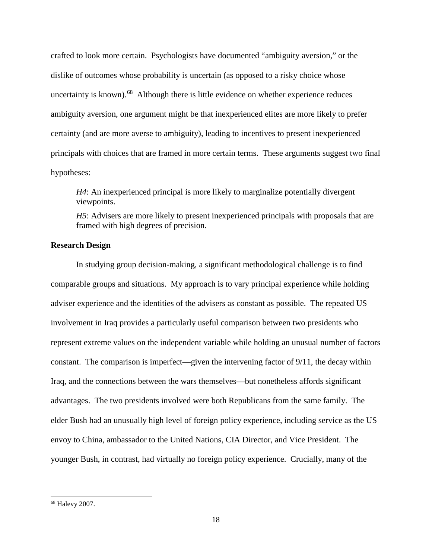crafted to look more certain. Psychologists have documented "ambiguity aversion," or the dislike of outcomes whose probability is uncertain (as opposed to a risky choice whose uncertainty is known). $68$  Although there is little evidence on whether experience reduces ambiguity aversion, one argument might be that inexperienced elites are more likely to prefer certainty (and are more averse to ambiguity), leading to incentives to present inexperienced principals with choices that are framed in more certain terms. These arguments suggest two final hypotheses:

*H4*: An inexperienced principal is more likely to marginalize potentially divergent viewpoints.

*H5*: Advisers are more likely to present inexperienced principals with proposals that are framed with high degrees of precision.

## **Research Design**

In studying group decision-making, a significant methodological challenge is to find comparable groups and situations. My approach is to vary principal experience while holding adviser experience and the identities of the advisers as constant as possible. The repeated US involvement in Iraq provides a particularly useful comparison between two presidents who represent extreme values on the independent variable while holding an unusual number of factors constant. The comparison is imperfect—given the intervening factor of  $9/11$ , the decay within Iraq, and the connections between the wars themselves—but nonetheless affords significant advantages. The two presidents involved were both Republicans from the same family. The elder Bush had an unusually high level of foreign policy experience, including service as the US envoy to China, ambassador to the United Nations, CIA Director, and Vice President. The younger Bush, in contrast, had virtually no foreign policy experience. Crucially, many of the

<span id="page-18-0"></span><sup>68</sup> Halevy 2007.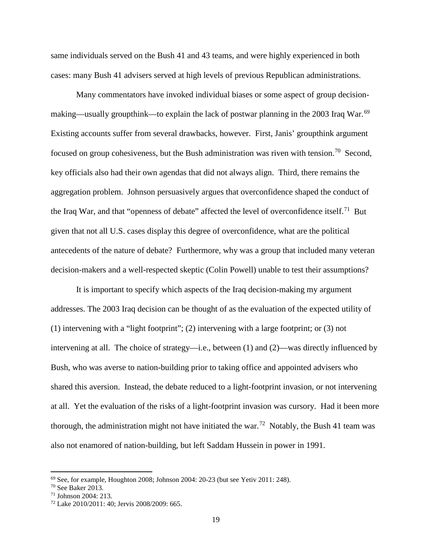same individuals served on the Bush 41 and 43 teams, and were highly experienced in both cases: many Bush 41 advisers served at high levels of previous Republican administrations.

Many commentators have invoked individual biases or some aspect of group decision-making—usually groupthink—to explain the lack of postwar planning in the 2003 Iraq War.<sup>[69](#page-19-0)</sup> Existing accounts suffer from several drawbacks, however. First, Janis' groupthink argument focused on group cohesiveness, but the Bush administration was riven with tension.<sup>70</sup> Second, key officials also had their own agendas that did not always align. Third, there remains the aggregation problem. Johnson persuasively argues that overconfidence shaped the conduct of the Iraq War, and that "openness of debate" affected the level of overconfidence itself.<sup>[71](#page-19-2)</sup> But given that not all U.S. cases display this degree of overconfidence, what are the political antecedents of the nature of debate? Furthermore, why was a group that included many veteran decision-makers and a well-respected skeptic (Colin Powell) unable to test their assumptions?

It is important to specify which aspects of the Iraq decision-making my argument addresses. The 2003 Iraq decision can be thought of as the evaluation of the expected utility of (1) intervening with a "light footprint"; (2) intervening with a large footprint; or (3) not intervening at all. The choice of strategy—i.e., between (1) and (2)—was directly influenced by Bush, who was averse to nation-building prior to taking office and appointed advisers who shared this aversion. Instead, the debate reduced to a light-footprint invasion, or not intervening at all. Yet the evaluation of the risks of a light-footprint invasion was cursory. Had it been more thorough, the administration might not have initiated the war.<sup>72</sup> Notably, the Bush 41 team was also not enamored of nation-building, but left Saddam Hussein in power in 1991.

<span id="page-19-0"></span> $69$  See, for example, Houghton 2008; Johnson 2004: 20-23 (but see Yetiv 2011: 248).

<span id="page-19-1"></span> $70$  See Baker 2013.<br> $71$  Johnson 2004: 213.

<span id="page-19-2"></span>

<span id="page-19-3"></span><sup>&</sup>lt;sup>72</sup> Lake 2010/2011: 40; Jervis 2008/2009: 665.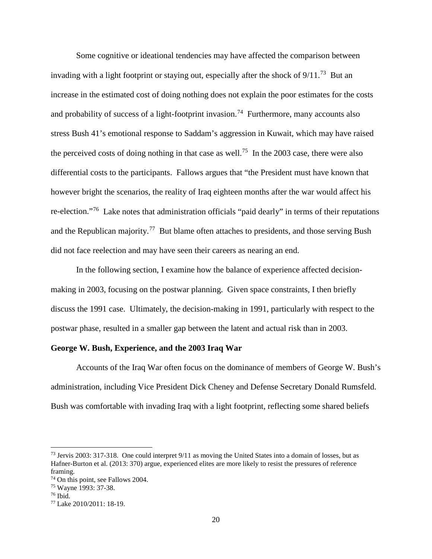Some cognitive or ideational tendencies may have affected the comparison between invading with a light footprint or staying out, especially after the shock of 9/11.<sup>[73](#page-20-0)</sup> But an increase in the estimated cost of doing nothing does not explain the poor estimates for the costs and probability of success of a light-footprint invasion.<sup>74</sup> Furthermore, many accounts also stress Bush 41's emotional response to Saddam's aggression in Kuwait, which may have raised the perceived costs of doing nothing in that case as well.<sup>75</sup> In the 2003 case, there were also differential costs to the participants. Fallows argues that "the President must have known that however bright the scenarios, the reality of Iraq eighteen months after the war would affect his re-election."[76](#page-20-3) Lake notes that administration officials "paid dearly" in terms of their reputations and the Republican majority.<sup>77</sup> But blame often attaches to presidents, and those serving Bush did not face reelection and may have seen their careers as nearing an end.

In the following section, I examine how the balance of experience affected decisionmaking in 2003, focusing on the postwar planning. Given space constraints, I then briefly discuss the 1991 case. Ultimately, the decision-making in 1991, particularly with respect to the postwar phase, resulted in a smaller gap between the latent and actual risk than in 2003.

## **George W. Bush, Experience, and the 2003 Iraq War**

Accounts of the Iraq War often focus on the dominance of members of George W. Bush's administration, including Vice President Dick Cheney and Defense Secretary Donald Rumsfeld. Bush was comfortable with invading Iraq with a light footprint, reflecting some shared beliefs

<span id="page-20-0"></span><sup>73</sup> Jervis 2003: 317-318. One could interpret 9/11 as moving the United States into a domain of losses, but as Hafner-Burton et al. (2013: 370) argue, experienced elites are more likely to resist the pressures of reference framing.

<span id="page-20-1"></span><sup>74</sup> On this point, see Fallows 2004.

<span id="page-20-2"></span><sup>75</sup> Wayne 1993: 37-38.

<span id="page-20-3"></span> $76$  Ibid.

<span id="page-20-4"></span><sup>77</sup> Lake 2010/2011: 18-19.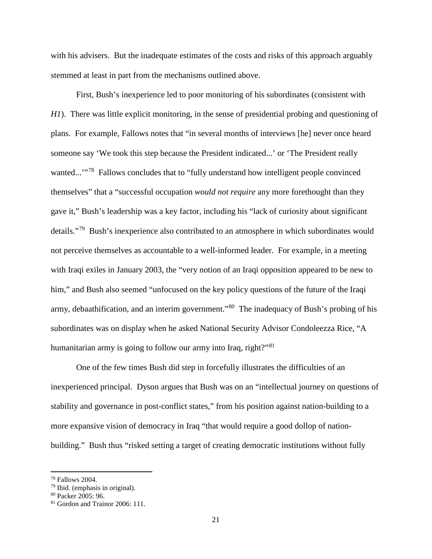with his advisers. But the inadequate estimates of the costs and risks of this approach arguably stemmed at least in part from the mechanisms outlined above.

First, Bush's inexperience led to poor monitoring of his subordinates (consistent with *H1*). There was little explicit monitoring, in the sense of presidential probing and questioning of plans. For example, Fallows notes that "in several months of interviews [he] never once heard someone say 'We took this step because the President indicated...' or 'The President really wanted...'"<sup>78</sup> Fallows concludes that to "fully understand how intelligent people convinced themselves" that a "successful occupation *would not require* any more forethought than they gave it," Bush's leadership was a key factor, including his "lack of curiosity about significant details."[79](#page-21-1) Bush's inexperience also contributed to an atmosphere in which subordinates would not perceive themselves as accountable to a well-informed leader. For example, in a meeting with Iraqi exiles in January 2003, the "very notion of an Iraqi opposition appeared to be new to him," and Bush also seemed "unfocused on the key policy questions of the future of the Iraqi army, debaathification, and an interim government.<sup>80</sup> The inadequacy of Bush's probing of his subordinates was on display when he asked National Security Advisor Condoleezza Rice, "A humanitarian army is going to follow our army into Iraq, right?"<sup>81</sup>

One of the few times Bush did step in forcefully illustrates the difficulties of an inexperienced principal. Dyson argues that Bush was on an "intellectual journey on questions of stability and governance in post-conflict states," from his position against nation-building to a more expansive vision of democracy in Iraq "that would require a good dollop of nationbuilding." Bush thus "risked setting a target of creating democratic institutions without fully

<span id="page-21-0"></span><sup>78</sup> Fallows 2004.

<span id="page-21-1"></span><sup>79</sup> Ibid. (emphasis in original).

<span id="page-21-2"></span><sup>80</sup> Packer 2005: 96.

<span id="page-21-3"></span><sup>81</sup> Gordon and Trainor 2006: 111.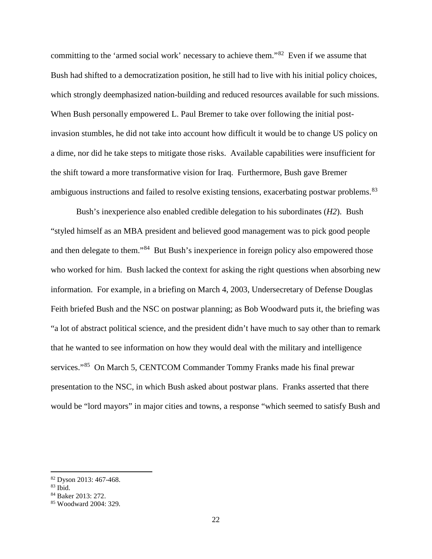committing to the 'armed social work' necessary to achieve them."[82](#page-22-0) Even if we assume that Bush had shifted to a democratization position, he still had to live with his initial policy choices, which strongly deemphasized nation-building and reduced resources available for such missions. When Bush personally empowered L. Paul Bremer to take over following the initial postinvasion stumbles, he did not take into account how difficult it would be to change US policy on a dime, nor did he take steps to mitigate those risks. Available capabilities were insufficient for the shift toward a more transformative vision for Iraq. Furthermore, Bush gave Bremer ambiguous instructions and failed to resolve existing tensions, exacerbating postwar problems.<sup>[83](#page-22-1)</sup>

Bush's inexperience also enabled credible delegation to his subordinates (*H2*). Bush "styled himself as an MBA president and believed good management was to pick good people and then delegate to them."<sup>[84](#page-22-2)</sup> But Bush's inexperience in foreign policy also empowered those who worked for him. Bush lacked the context for asking the right questions when absorbing new information. For example, in a briefing on March 4, 2003, Undersecretary of Defense Douglas Feith briefed Bush and the NSC on postwar planning; as Bob Woodward puts it, the briefing was "a lot of abstract political science, and the president didn't have much to say other than to remark that he wanted to see information on how they would deal with the military and intelligence services."<sup>85</sup> On March 5, CENTCOM Commander Tommy Franks made his final prewar presentation to the NSC, in which Bush asked about postwar plans. Franks asserted that there would be "lord mayors" in major cities and towns, a response "which seemed to satisfy Bush and

<span id="page-22-0"></span><sup>82</sup> Dyson 2013: 467-468.

<span id="page-22-1"></span> $83$  Ibid.

<span id="page-22-2"></span><sup>84</sup> Baker 2013: 272.

<span id="page-22-3"></span><sup>85</sup> Woodward 2004: 329.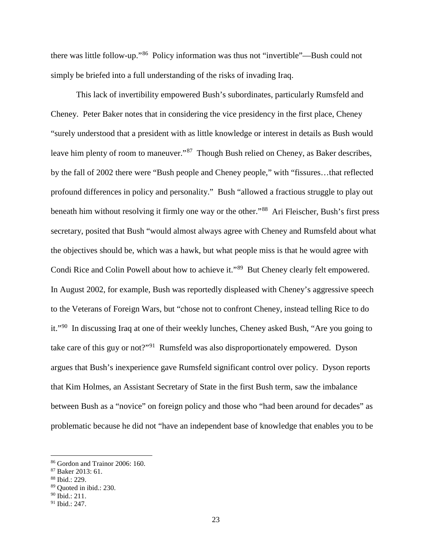there was little follow-up."[86](#page-23-0) Policy information was thus not "invertible"—Bush could not simply be briefed into a full understanding of the risks of invading Iraq.

This lack of invertibility empowered Bush's subordinates, particularly Rumsfeld and Cheney. Peter Baker notes that in considering the vice presidency in the first place, Cheney "surely understood that a president with as little knowledge or interest in details as Bush would leave him plenty of room to maneuver."<sup>[87](#page-23-1)</sup> Though Bush relied on Cheney, as Baker describes, by the fall of 2002 there were "Bush people and Cheney people," with "fissures…that reflected profound differences in policy and personality." Bush "allowed a fractious struggle to play out beneath him without resolving it firmly one way or the other.<sup>88</sup> Ari Fleischer, Bush's first press secretary, posited that Bush "would almost always agree with Cheney and Rumsfeld about what the objectives should be, which was a hawk, but what people miss is that he would agree with Condi Rice and Colin Powell about how to achieve it."[89](#page-23-3) But Cheney clearly felt empowered. In August 2002, for example, Bush was reportedly displeased with Cheney's aggressive speech to the Veterans of Foreign Wars, but "chose not to confront Cheney, instead telling Rice to do it."[90](#page-23-4) In discussing Iraq at one of their weekly lunches, Cheney asked Bush, "Are you going to take care of this guy or not?"<sup>91</sup> Rumsfeld was also disproportionately empowered. Dyson argues that Bush's inexperience gave Rumsfeld significant control over policy. Dyson reports that Kim Holmes, an Assistant Secretary of State in the first Bush term, saw the imbalance between Bush as a "novice" on foreign policy and those who "had been around for decades" as problematic because he did not "have an independent base of knowledge that enables you to be

<span id="page-23-0"></span><sup>86</sup> Gordon and Trainor 2006: 160.

<span id="page-23-1"></span><sup>87</sup> Baker 2013: 61.

<span id="page-23-2"></span><sup>88</sup> Ibid.: 229.

<span id="page-23-3"></span><sup>89</sup> Quoted in ibid.: 230.

<span id="page-23-4"></span> $90$  Ibid.: 211.

<span id="page-23-5"></span><sup>91</sup> Ibid.: 247.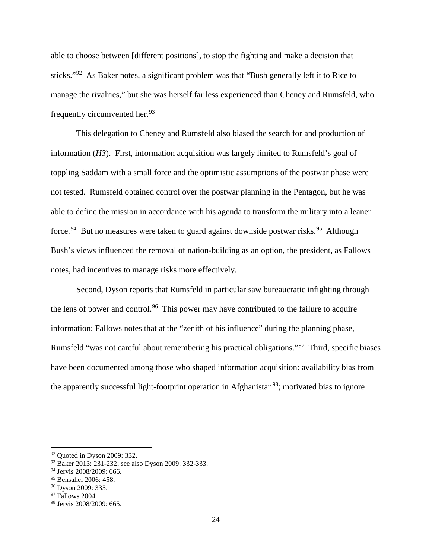able to choose between [different positions], to stop the fighting and make a decision that sticks."<sup>[92](#page-24-0)</sup> As Baker notes, a significant problem was that "Bush generally left it to Rice to manage the rivalries," but she was herself far less experienced than Cheney and Rumsfeld, who frequently circumvented her.<sup>93</sup>

This delegation to Cheney and Rumsfeld also biased the search for and production of information (*H3*). First, information acquisition was largely limited to Rumsfeld's goal of toppling Saddam with a small force and the optimistic assumptions of the postwar phase were not tested. Rumsfeld obtained control over the postwar planning in the Pentagon, but he was able to define the mission in accordance with his agenda to transform the military into a leaner force.<sup>[94](#page-24-2)</sup> But no measures were taken to guard against downside postwar risks.<sup>95</sup> Although Bush's views influenced the removal of nation-building as an option, the president, as Fallows notes, had incentives to manage risks more effectively.

Second, Dyson reports that Rumsfeld in particular saw bureaucratic infighting through the lens of power and control.<sup>96</sup> This power may have contributed to the failure to acquire information; Fallows notes that at the "zenith of his influence" during the planning phase, Rumsfeld "was not careful about remembering his practical obligations."[97](#page-24-5) Third, specific biases have been documented among those who shaped information acquisition: availability bias from the apparently successful light-footprint operation in Afghanistan<sup>98</sup>; motivated bias to ignore

<span id="page-24-0"></span> $92$  Quoted in Dyson 2009: 332.

<span id="page-24-1"></span><sup>93</sup> Baker 2013: 231-232; see also Dyson 2009: 332-333.

<span id="page-24-2"></span><sup>94</sup> Jervis 2008/2009: 666.

<span id="page-24-3"></span><sup>95</sup> Bensahel 2006: 458.

<span id="page-24-4"></span><sup>96</sup> Dyson 2009: 335.

<span id="page-24-5"></span> $97$  Fallows 2004.

<span id="page-24-6"></span><sup>98</sup> Jervis 2008/2009: 665.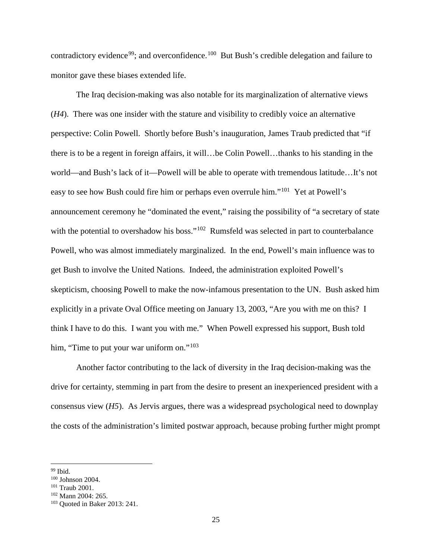contradictory evidence<sup>[99](#page-25-0)</sup>; and overconfidence.<sup>100</sup> But Bush's credible delegation and failure to monitor gave these biases extended life.

The Iraq decision-making was also notable for its marginalization of alternative views (*H4*). There was one insider with the stature and visibility to credibly voice an alternative perspective: Colin Powell. Shortly before Bush's inauguration, James Traub predicted that "if there is to be a regent in foreign affairs, it will…be Colin Powell…thanks to his standing in the world—and Bush's lack of it—Powell will be able to operate with tremendous latitude…It's not easy to see how Bush could fire him or perhaps even overrule him."[101](#page-25-2) Yet at Powell's announcement ceremony he "dominated the event," raising the possibility of "a secretary of state with the potential to overshadow his boss."<sup>102</sup> Rumsfeld was selected in part to counterbalance Powell, who was almost immediately marginalized. In the end, Powell's main influence was to get Bush to involve the United Nations. Indeed, the administration exploited Powell's skepticism, choosing Powell to make the now-infamous presentation to the UN. Bush asked him explicitly in a private Oval Office meeting on January 13, 2003, "Are you with me on this? I think I have to do this. I want you with me." When Powell expressed his support, Bush told him, "Time to put your war uniform on."<sup>[103](#page-25-4)</sup>

Another factor contributing to the lack of diversity in the Iraq decision-making was the drive for certainty, stemming in part from the desire to present an inexperienced president with a consensus view (*H5*). As Jervis argues, there was a widespread psychological need to downplay the costs of the administration's limited postwar approach, because probing further might prompt

<span id="page-25-0"></span><sup>&</sup>lt;sup>99</sup> Ibid.

<span id="page-25-1"></span><sup>100</sup> Johnson 2004.

<span id="page-25-2"></span><sup>101</sup> Traub 2001.

<span id="page-25-3"></span> $102$  Mann 2004: 265.

<span id="page-25-4"></span><sup>103</sup> Quoted in Baker 2013: 241.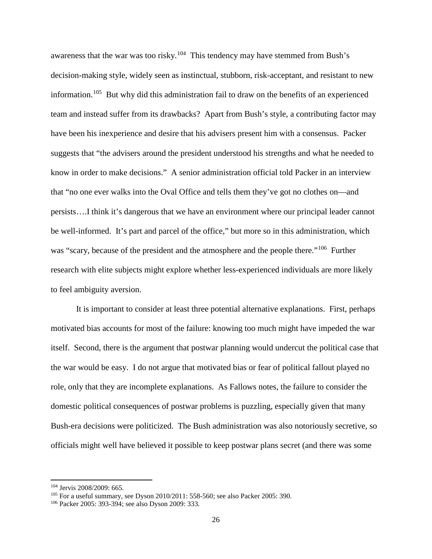awareness that the war was too risky.<sup>104</sup> This tendency may have stemmed from Bush's decision-making style, widely seen as instinctual, stubborn, risk-acceptant, and resistant to new information.[105](#page-26-1) But why did this administration fail to draw on the benefits of an experienced team and instead suffer from its drawbacks? Apart from Bush's style, a contributing factor may have been his inexperience and desire that his advisers present him with a consensus. Packer suggests that "the advisers around the president understood his strengths and what he needed to know in order to make decisions." A senior administration official told Packer in an interview that "no one ever walks into the Oval Office and tells them they've got no clothes on—and persists….I think it's dangerous that we have an environment where our principal leader cannot be well-informed. It's part and parcel of the office," but more so in this administration, which was "scary, because of the president and the atmosphere and the people there."<sup>[106](#page-26-2)</sup> Further research with elite subjects might explore whether less-experienced individuals are more likely to feel ambiguity aversion.

It is important to consider at least three potential alternative explanations. First, perhaps motivated bias accounts for most of the failure: knowing too much might have impeded the war itself. Second, there is the argument that postwar planning would undercut the political case that the war would be easy. I do not argue that motivated bias or fear of political fallout played no role, only that they are incomplete explanations. As Fallows notes, the failure to consider the domestic political consequences of postwar problems is puzzling, especially given that many Bush-era decisions were politicized. The Bush administration was also notoriously secretive, so officials might well have believed it possible to keep postwar plans secret (and there was some

<span id="page-26-0"></span><sup>104</sup> Jervis 2008/2009: 665.

<span id="page-26-1"></span> $105$  For a useful summary, see Dyson 2010/2011: 558-560; see also Packer 2005: 390.

<span id="page-26-2"></span><sup>106</sup> Packer 2005: 393-394; see also Dyson 2009: 333.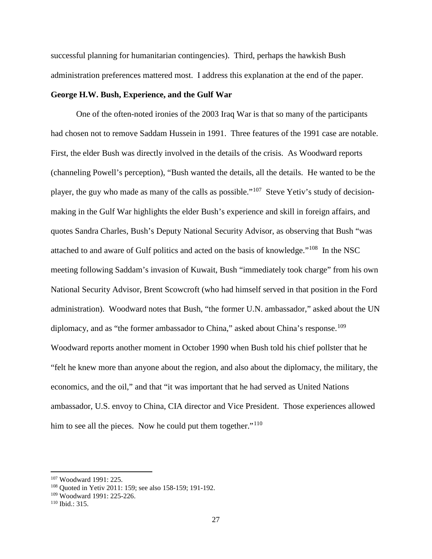successful planning for humanitarian contingencies). Third, perhaps the hawkish Bush administration preferences mattered most. I address this explanation at the end of the paper.

## **George H.W. Bush, Experience, and the Gulf War**

One of the often-noted ironies of the 2003 Iraq War is that so many of the participants had chosen not to remove Saddam Hussein in 1991. Three features of the 1991 case are notable. First, the elder Bush was directly involved in the details of the crisis. As Woodward reports (channeling Powell's perception), "Bush wanted the details, all the details. He wanted to be the player, the guy who made as many of the calls as possible."[107](#page-27-0) Steve Yetiv's study of decisionmaking in the Gulf War highlights the elder Bush's experience and skill in foreign affairs, and quotes Sandra Charles, Bush's Deputy National Security Advisor, as observing that Bush "was attached to and aware of Gulf politics and acted on the basis of knowledge."[108](#page-27-1) In the NSC meeting following Saddam's invasion of Kuwait, Bush "immediately took charge" from his own National Security Advisor, Brent Scowcroft (who had himself served in that position in the Ford administration). Woodward notes that Bush, "the former U.N. ambassador," asked about the UN diplomacy, and as "the former ambassador to China," asked about China's response.<sup>[109](#page-27-2)</sup> Woodward reports another moment in October 1990 when Bush told his chief pollster that he "felt he knew more than anyone about the region, and also about the diplomacy, the military, the economics, and the oil," and that "it was important that he had served as United Nations ambassador, U.S. envoy to China, CIA director and Vice President. Those experiences allowed him to see all the pieces. Now he could put them together."<sup>[110](#page-27-3)</sup>

<span id="page-27-1"></span><span id="page-27-0"></span><sup>&</sup>lt;sup>107</sup> Woodward 1991: 225.<br><sup>108</sup> Quoted in Yetiv 2011: 159; see also 158-159; 191-192.

<span id="page-27-2"></span><sup>109</sup> Woodward 1991: 225-226.

<span id="page-27-3"></span><sup>110</sup> Ibid.: 315.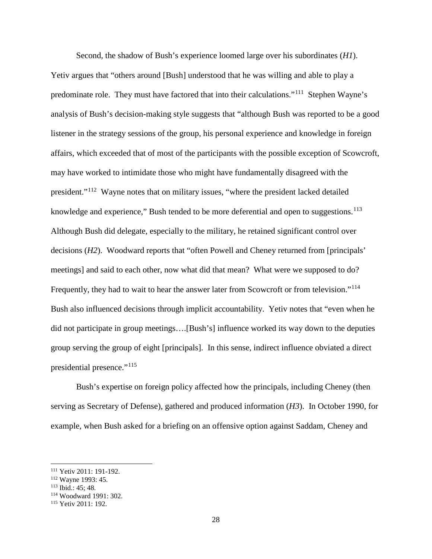Second, the shadow of Bush's experience loomed large over his subordinates (*H1*). Yetiv argues that "others around [Bush] understood that he was willing and able to play a predominate role. They must have factored that into their calculations."[111](#page-28-0) Stephen Wayne's analysis of Bush's decision-making style suggests that "although Bush was reported to be a good listener in the strategy sessions of the group, his personal experience and knowledge in foreign affairs, which exceeded that of most of the participants with the possible exception of Scowcroft, may have worked to intimidate those who might have fundamentally disagreed with the president."[112](#page-28-1) Wayne notes that on military issues, "where the president lacked detailed knowledge and experience," Bush tended to be more deferential and open to suggestions.<sup>[113](#page-28-2)</sup> Although Bush did delegate, especially to the military, he retained significant control over decisions (*H2*). Woodward reports that "often Powell and Cheney returned from [principals' meetings] and said to each other, now what did that mean? What were we supposed to do? Frequently, they had to wait to hear the answer later from Scowcroft or from television."<sup>114</sup> Bush also influenced decisions through implicit accountability. Yetiv notes that "even when he did not participate in group meetings….[Bush's] influence worked its way down to the deputies group serving the group of eight [principals]. In this sense, indirect influence obviated a direct presidential presence."[115](#page-28-4)

Bush's expertise on foreign policy affected how the principals, including Cheney (then serving as Secretary of Defense), gathered and produced information (*H3*). In October 1990, for example, when Bush asked for a briefing on an offensive option against Saddam, Cheney and

<span id="page-28-0"></span><sup>111</sup> Yetiv 2011: 191-192.

<span id="page-28-1"></span><sup>112</sup> Wayne 1993: 45.

<span id="page-28-2"></span><sup>113</sup> Ibid.: 45; 48.

<span id="page-28-3"></span><sup>114</sup> Woodward 1991: 302.

<span id="page-28-4"></span><sup>115</sup> Yetiv 2011: 192.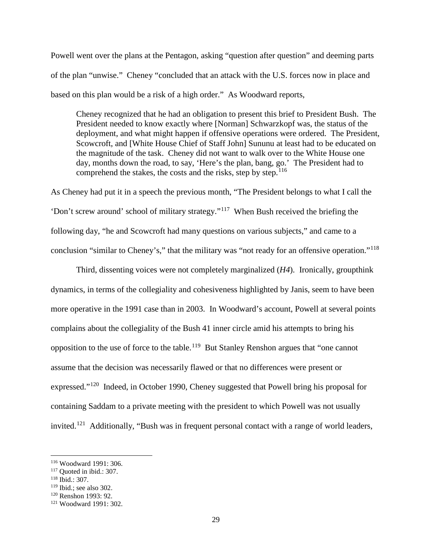Powell went over the plans at the Pentagon, asking "question after question" and deeming parts of the plan "unwise." Cheney "concluded that an attack with the U.S. forces now in place and based on this plan would be a risk of a high order." As Woodward reports,

Cheney recognized that he had an obligation to present this brief to President Bush. The President needed to know exactly where [Norman] Schwarzkopf was, the status of the deployment, and what might happen if offensive operations were ordered. The President, Scowcroft, and [White House Chief of Staff John] Sununu at least had to be educated on the magnitude of the task. Cheney did not want to walk over to the White House one day, months down the road, to say, 'Here's the plan, bang, go.' The President had to comprehend the stakes, the costs and the risks, step by step.<sup>[116](#page-29-0)</sup>

As Cheney had put it in a speech the previous month, "The President belongs to what I call the 'Don't screw around' school of military strategy."[117](#page-29-1) When Bush received the briefing the following day, "he and Scowcroft had many questions on various subjects," and came to a conclusion "similar to Cheney's," that the military was "not ready for an offensive operation."[118](#page-29-2) 

Third, dissenting voices were not completely marginalized (*H4*). Ironically, groupthink dynamics, in terms of the collegiality and cohesiveness highlighted by Janis, seem to have been more operative in the 1991 case than in 2003. In Woodward's account, Powell at several points complains about the collegiality of the Bush 41 inner circle amid his attempts to bring his opposition to the use of force to the table.<sup>[119](#page-29-3)</sup> But Stanley Renshon argues that "one cannot assume that the decision was necessarily flawed or that no differences were present or expressed."[120](#page-29-4) Indeed, in October 1990, Cheney suggested that Powell bring his proposal for containing Saddam to a private meeting with the president to which Powell was not usually invited.<sup>[121](#page-29-5)</sup> Additionally, "Bush was in frequent personal contact with a range of world leaders,

<span id="page-29-0"></span><sup>116</sup> Woodward 1991: 306.

<span id="page-29-1"></span> $117$  Quoted in ibid.: 307.

<span id="page-29-2"></span><sup>118</sup> Ibid.: 307.

<span id="page-29-3"></span> $119$  Ibid.; see also 302.

<span id="page-29-4"></span><sup>120</sup> Renshon 1993: 92.

<span id="page-29-5"></span><sup>121</sup> Woodward 1991: 302.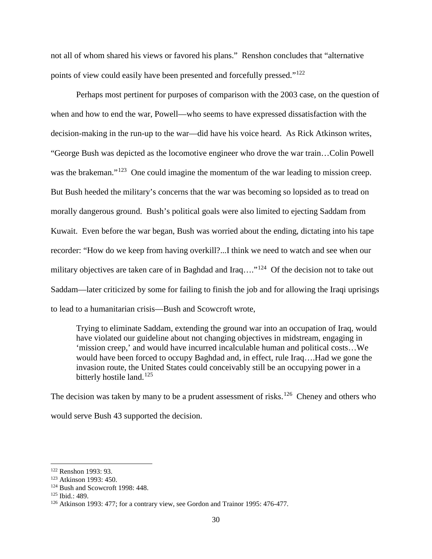not all of whom shared his views or favored his plans." Renshon concludes that "alternative points of view could easily have been presented and forcefully pressed."[122](#page-30-0)

Perhaps most pertinent for purposes of comparison with the 2003 case, on the question of when and how to end the war, Powell—who seems to have expressed dissatisfaction with the decision-making in the run-up to the war—did have his voice heard. As Rick Atkinson writes, "George Bush was depicted as the locomotive engineer who drove the war train…Colin Powell was the brakeman."<sup>123</sup> One could imagine the momentum of the war leading to mission creep. But Bush heeded the military's concerns that the war was becoming so lopsided as to tread on morally dangerous ground. Bush's political goals were also limited to ejecting Saddam from Kuwait. Even before the war began, Bush was worried about the ending, dictating into his tape recorder: "How do we keep from having overkill?...I think we need to watch and see when our military objectives are taken care of in Baghdad and Iraq...."<sup>[124](#page-30-2)</sup> Of the decision not to take out Saddam—later criticized by some for failing to finish the job and for allowing the Iraqi uprisings to lead to a humanitarian crisis—Bush and Scowcroft wrote,

Trying to eliminate Saddam, extending the ground war into an occupation of Iraq, would have violated our guideline about not changing objectives in midstream, engaging in 'mission creep,' and would have incurred incalculable human and political costs…We would have been forced to occupy Baghdad and, in effect, rule Iraq….Had we gone the invasion route, the United States could conceivably still be an occupying power in a bitterly hostile land.<sup>[125](#page-30-3)</sup>

The decision was taken by many to be a prudent assessment of risks.<sup>[126](#page-30-4)</sup> Cheney and others who would serve Bush 43 supported the decision.

<span id="page-30-0"></span><sup>122</sup> Renshon 1993: 93.

<span id="page-30-1"></span><sup>123</sup> Atkinson 1993: 450.

<span id="page-30-2"></span> $124$  Bush and Scowcroft 1998: 448.<br> $125$  Ibid.: 489.

<span id="page-30-3"></span>

<span id="page-30-4"></span><sup>&</sup>lt;sup>126</sup> Atkinson 1993: 477; for a contrary view, see Gordon and Trainor 1995: 476-477.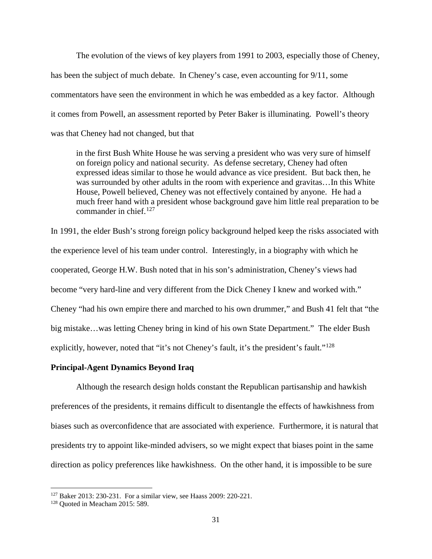The evolution of the views of key players from 1991 to 2003, especially those of Cheney, has been the subject of much debate. In Cheney's case, even accounting for 9/11, some commentators have seen the environment in which he was embedded as a key factor. Although it comes from Powell, an assessment reported by Peter Baker is illuminating. Powell's theory was that Cheney had not changed, but that

in the first Bush White House he was serving a president who was very sure of himself on foreign policy and national security. As defense secretary, Cheney had often expressed ideas similar to those he would advance as vice president. But back then, he was surrounded by other adults in the room with experience and gravitas…In this White House, Powell believed, Cheney was not effectively contained by anyone. He had a much freer hand with a president whose background gave him little real preparation to be commander in chief. $127$ 

In 1991, the elder Bush's strong foreign policy background helped keep the risks associated with the experience level of his team under control. Interestingly, in a biography with which he cooperated, George H.W. Bush noted that in his son's administration, Cheney's views had become "very hard-line and very different from the Dick Cheney I knew and worked with." Cheney "had his own empire there and marched to his own drummer," and Bush 41 felt that "the big mistake…was letting Cheney bring in kind of his own State Department." The elder Bush explicitly, however, noted that "it's not Cheney's fault, it's the president's fault."<sup>[128](#page-31-1)</sup>

### **Principal-Agent Dynamics Beyond Iraq**

Although the research design holds constant the Republican partisanship and hawkish preferences of the presidents, it remains difficult to disentangle the effects of hawkishness from biases such as overconfidence that are associated with experience. Furthermore, it is natural that presidents try to appoint like-minded advisers, so we might expect that biases point in the same direction as policy preferences like hawkishness. On the other hand, it is impossible to be sure

<span id="page-31-0"></span><sup>127</sup> Baker 2013: 230-231. For a similar view, see Haass 2009: 220-221.

<span id="page-31-1"></span><sup>128</sup> Quoted in Meacham 2015: 589.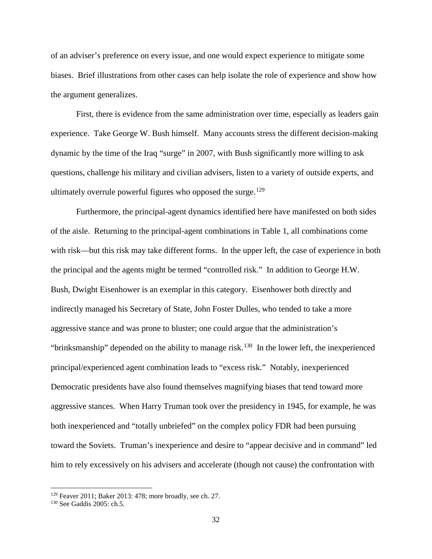of an adviser's preference on every issue, and one would expect experience to mitigate some biases. Brief illustrations from other cases can help isolate the role of experience and show how the argument generalizes.

First, there is evidence from the same administration over time, especially as leaders gain experience. Take George W. Bush himself. Many accounts stress the different decision-making dynamic by the time of the Iraq "surge" in 2007, with Bush significantly more willing to ask questions, challenge his military and civilian advisers, listen to a variety of outside experts, and ultimately overrule powerful figures who opposed the surge.<sup>[129](#page-32-0)</sup>

Furthermore, the principal-agent dynamics identified here have manifested on both sides of the aisle. Returning to the principal-agent combinations in Table 1, all combinations come with risk—but this risk may take different forms. In the upper left, the case of experience in both the principal and the agents might be termed "controlled risk." In addition to George H.W. Bush, Dwight Eisenhower is an exemplar in this category. Eisenhower both directly and indirectly managed his Secretary of State, John Foster Dulles, who tended to take a more aggressive stance and was prone to bluster; one could argue that the administration's "brinksmanship" depended on the ability to manage risk.<sup>130</sup> In the lower left, the inexperienced principal/experienced agent combination leads to "excess risk." Notably, inexperienced Democratic presidents have also found themselves magnifying biases that tend toward more aggressive stances. When Harry Truman took over the presidency in 1945, for example, he was both inexperienced and "totally unbriefed" on the complex policy FDR had been pursuing toward the Soviets. Truman's inexperience and desire to "appear decisive and in command" led him to rely excessively on his advisers and accelerate (though not cause) the confrontation with

<span id="page-32-0"></span><sup>129</sup> Feaver 2011; Baker 2013: 478; more broadly, see ch. 27.

<span id="page-32-1"></span><sup>130</sup> See Gaddis 2005: ch.5.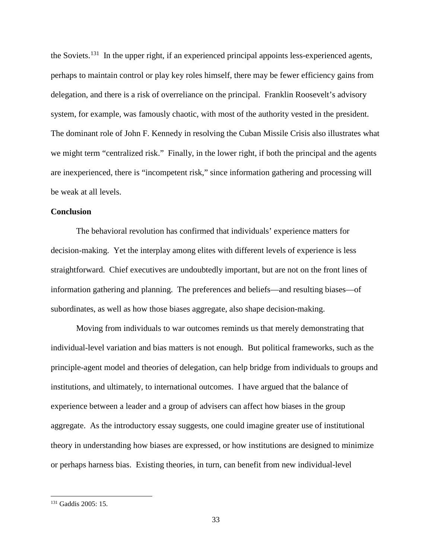the Soviets.[131](#page-33-0) In the upper right, if an experienced principal appoints less-experienced agents, perhaps to maintain control or play key roles himself, there may be fewer efficiency gains from delegation, and there is a risk of overreliance on the principal. Franklin Roosevelt's advisory system, for example, was famously chaotic, with most of the authority vested in the president. The dominant role of John F. Kennedy in resolving the Cuban Missile Crisis also illustrates what we might term "centralized risk." Finally, in the lower right, if both the principal and the agents are inexperienced, there is "incompetent risk," since information gathering and processing will be weak at all levels.

## **Conclusion**

The behavioral revolution has confirmed that individuals' experience matters for decision-making. Yet the interplay among elites with different levels of experience is less straightforward. Chief executives are undoubtedly important, but are not on the front lines of information gathering and planning. The preferences and beliefs—and resulting biases—of subordinates, as well as how those biases aggregate, also shape decision-making.

Moving from individuals to war outcomes reminds us that merely demonstrating that individual-level variation and bias matters is not enough. But political frameworks, such as the principle-agent model and theories of delegation, can help bridge from individuals to groups and institutions, and ultimately, to international outcomes. I have argued that the balance of experience between a leader and a group of advisers can affect how biases in the group aggregate. As the introductory essay suggests, one could imagine greater use of institutional theory in understanding how biases are expressed, or how institutions are designed to minimize or perhaps harness bias. Existing theories, in turn, can benefit from new individual-level

<span id="page-33-0"></span><sup>131</sup> Gaddis 2005: 15.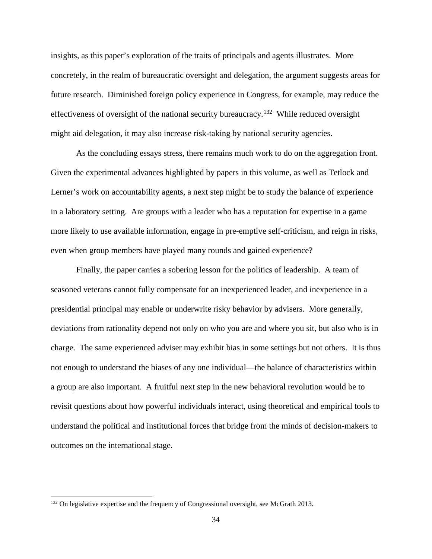insights, as this paper's exploration of the traits of principals and agents illustrates. More concretely, in the realm of bureaucratic oversight and delegation, the argument suggests areas for future research. Diminished foreign policy experience in Congress, for example, may reduce the effectiveness of oversight of the national security bureaucracy.<sup>[132](#page-34-0)</sup> While reduced oversight might aid delegation, it may also increase risk-taking by national security agencies.

As the concluding essays stress, there remains much work to do on the aggregation front. Given the experimental advances highlighted by papers in this volume, as well as Tetlock and Lerner's work on accountability agents, a next step might be to study the balance of experience in a laboratory setting. Are groups with a leader who has a reputation for expertise in a game more likely to use available information, engage in pre-emptive self-criticism, and reign in risks, even when group members have played many rounds and gained experience?

Finally, the paper carries a sobering lesson for the politics of leadership. A team of seasoned veterans cannot fully compensate for an inexperienced leader, and inexperience in a presidential principal may enable or underwrite risky behavior by advisers. More generally, deviations from rationality depend not only on who you are and where you sit, but also who is in charge. The same experienced adviser may exhibit bias in some settings but not others. It is thus not enough to understand the biases of any one individual—the balance of characteristics within a group are also important. A fruitful next step in the new behavioral revolution would be to revisit questions about how powerful individuals interact, using theoretical and empirical tools to understand the political and institutional forces that bridge from the minds of decision-makers to outcomes on the international stage.

<span id="page-34-0"></span><sup>&</sup>lt;sup>132</sup> On legislative expertise and the frequency of Congressional oversight, see McGrath 2013.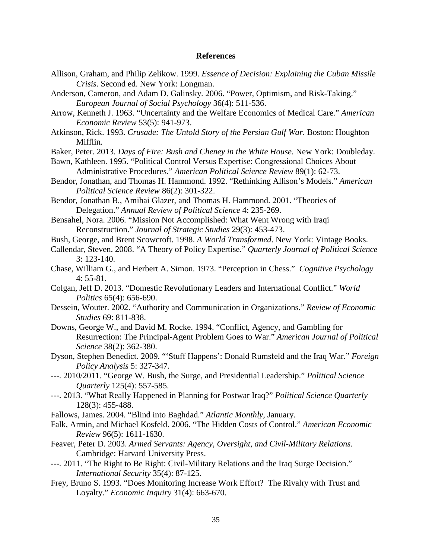## **References**

- Allison, Graham, and Philip Zelikow. 1999. *Essence of Decision: Explaining the Cuban Missile Crisis*. Second ed. New York: Longman.
- Anderson, Cameron, and Adam D. Galinsky. 2006. "Power, Optimism, and Risk-Taking." *European Journal of Social Psychology* 36(4): 511-536.
- Arrow, Kenneth J. 1963. "Uncertainty and the Welfare Economics of Medical Care." *American Economic Review* 53(5): 941-973.
- Atkinson, Rick. 1993. *Crusade: The Untold Story of the Persian Gulf War*. Boston: Houghton Mifflin.
- Baker, Peter. 2013. *Days of Fire: Bush and Cheney in the White House*. New York: Doubleday.
- Bawn, Kathleen. 1995. "Political Control Versus Expertise: Congressional Choices About Administrative Procedures." *American Political Science Review* 89(1): 62-73.
- Bendor, Jonathan, and Thomas H. Hammond. 1992. "Rethinking Allison's Models." *American Political Science Review* 86(2): 301-322.
- Bendor, Jonathan B., Amihai Glazer, and Thomas H. Hammond. 2001. "Theories of Delegation." *Annual Review of Political Science* 4: 235-269.
- Bensahel, Nora. 2006. "Mission Not Accomplished: What Went Wrong with Iraqi Reconstruction." *Journal of Strategic Studies* 29(3): 453-473.
- Bush, George, and Brent Scowcroft. 1998. *A World Transformed*. New York: Vintage Books.
- Callendar, Steven. 2008. "A Theory of Policy Expertise." *Quarterly Journal of Political Science* 3: 123-140.
- Chase, William G., and Herbert A. Simon. 1973. "Perception in Chess." *Cognitive Psychology*  4: 55-81.
- Colgan, Jeff D. 2013. "Domestic Revolutionary Leaders and International Conflict." *World Politics* 65(4): 656-690.
- Dessein, Wouter. 2002. "Authority and Communication in Organizations." *Review of Economic Studies* 69: 811-838.
- Downs, George W., and David M. Rocke. 1994. "Conflict, Agency, and Gambling for Resurrection: The Principal-Agent Problem Goes to War." *American Journal of Political Science* 38(2): 362-380.
- Dyson, Stephen Benedict. 2009. "'Stuff Happens': Donald Rumsfeld and the Iraq War." *Foreign Policy Analysis* 5: 327-347.
- ---. 2010/2011. "George W. Bush, the Surge, and Presidential Leadership." *Political Science Quarterly* 125(4): 557-585.
- ---. 2013. "What Really Happened in Planning for Postwar Iraq?" *Political Science Quarterly* 128(3): 455-488.
- Fallows, James. 2004. "Blind into Baghdad." *Atlantic Monthly*, January.
- Falk, Armin, and Michael Kosfeld. 2006. "The Hidden Costs of Control." *American Economic Review* 96(5): 1611-1630.
- Feaver, Peter D. 2003. *Armed Servants: Agency, Oversight, and Civil-Military Relations*. Cambridge: Harvard University Press.
- ---. 2011. "The Right to Be Right: Civil-Military Relations and the Iraq Surge Decision." *International Security* 35(4): 87-125.
- Frey, Bruno S. 1993. "Does Monitoring Increase Work Effort? The Rivalry with Trust and Loyalty." *Economic Inquiry* 31(4): 663-670.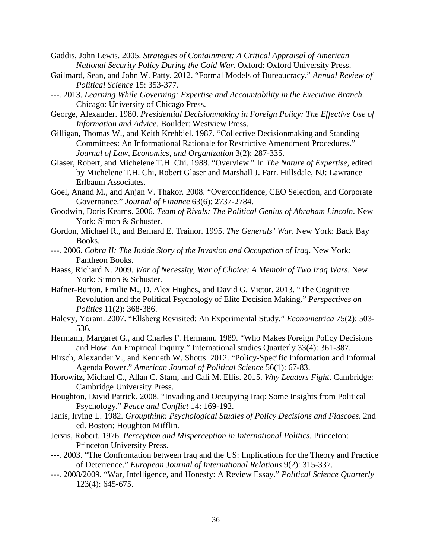Gaddis, John Lewis. 2005. *Strategies of Containment: A Critical Appraisal of American National Security Policy During the Cold War*. Oxford: Oxford University Press.

- Gailmard, Sean, and John W. Patty. 2012. "Formal Models of Bureaucracy." *Annual Review of Political Science* 15: 353-377.
- ---. 2013. *Learning While Governing: Expertise and Accountability in the Executive Branch*. Chicago: University of Chicago Press.
- George, Alexander. 1980. *Presidential Decisionmaking in Foreign Policy: The Effective Use of Information and Advice*. Boulder: Westview Press.
- Gilligan, Thomas W., and Keith Krehbiel. 1987. "Collective Decisionmaking and Standing Committees: An Informational Rationale for Restrictive Amendment Procedures." *Journal of Law, Economics, and Organization* 3(2): 287-335.
- Glaser, Robert, and Michelene T.H. Chi. 1988. "Overview." In *The Nature of Expertise*, edited by Michelene T.H. Chi, Robert Glaser and Marshall J. Farr. Hillsdale, NJ: Lawrance Erlbaum Associates.
- Goel, Anand M., and Anjan V. Thakor. 2008. "Overconfidence, CEO Selection, and Corporate Governance." *Journal of Finance* 63(6): 2737-2784.
- Goodwin, Doris Kearns. 2006. *Team of Rivals: The Political Genius of Abraham Lincoln*. New York: Simon & Schuster.
- Gordon, Michael R., and Bernard E. Trainor. 1995. *The Generals' War*. New York: Back Bay Books.
- ---. 2006. *Cobra II: The Inside Story of the Invasion and Occupation of Iraq*. New York: Pantheon Books.
- Haass, Richard N. 2009. *War of Necessity, War of Choice: A Memoir of Two Iraq Wars*. New York: Simon & Schuster.
- Hafner-Burton, Emilie M., D. Alex Hughes, and David G. Victor. 2013. "The Cognitive Revolution and the Political Psychology of Elite Decision Making." *Perspectives on Politics* 11(2): 368-386.
- Halevy, Yoram. 2007. "Ellsberg Revisited: An Experimental Study." *Econometrica* 75(2): 503- 536.
- Hermann, Margaret G., and Charles F. Hermann. 1989. "Who Makes Foreign Policy Decisions and How: An Empirical Inquiry." International studies Quarterly 33(4): 361-387.
- Hirsch, Alexander V., and Kenneth W. Shotts. 2012. "Policy-Specific Information and Informal Agenda Power." *American Journal of Political Science* 56(1): 67-83.
- Horowitz, Michael C., Allan C. Stam, and Cali M. Ellis. 2015. *Why Leaders Fight*. Cambridge: Cambridge University Press.
- Houghton, David Patrick. 2008. "Invading and Occupying Iraq: Some Insights from Political Psychology." *Peace and Conflict* 14: 169-192.
- Janis, Irving L. 1982. *Groupthink: Psychological Studies of Policy Decisions and Fiascoes*. 2nd ed. Boston: Houghton Mifflin.
- Jervis, Robert. 1976. *Perception and Misperception in International Politics*. Princeton: Princeton University Press.
- ---. 2003. "The Confrontation between Iraq and the US: Implications for the Theory and Practice of Deterrence." *European Journal of International Relations* 9(2): 315-337.
- ---. 2008/2009. "War, Intelligence, and Honesty: A Review Essay." *Political Science Quarterly* 123(4): 645-675.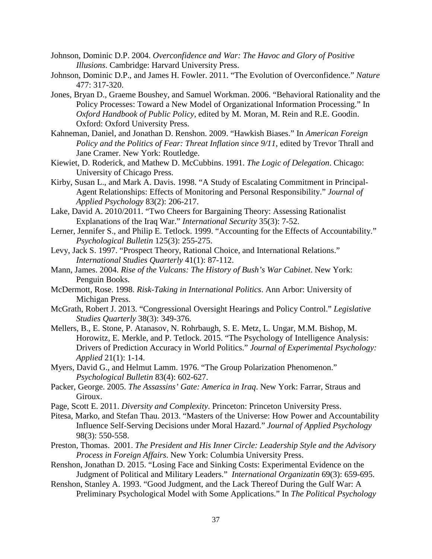- Johnson, Dominic D.P. 2004. *Overconfidence and War: The Havoc and Glory of Positive Illusions*. Cambridge: Harvard University Press.
- Johnson, Dominic D.P., and James H. Fowler. 2011. "The Evolution of Overconfidence." *Nature* 477: 317-320.
- Jones, Bryan D., Graeme Boushey, and Samuel Workman. 2006. "Behavioral Rationality and the Policy Processes: Toward a New Model of Organizational Information Processing." In *Oxford Handbook of Public Policy*, edited by M. Moran, M. Rein and R.E. Goodin. Oxford: Oxford University Press.
- Kahneman, Daniel, and Jonathan D. Renshon. 2009. "Hawkish Biases." In *American Foreign Policy and the Politics of Fear: Threat Inflation since 9/11*, edited by Trevor Thrall and Jane Cramer. New York: Routledge.
- Kiewiet, D. Roderick, and Mathew D. McCubbins. 1991. *The Logic of Delegation*. Chicago: University of Chicago Press.
- Kirby, Susan L., and Mark A. Davis. 1998. "A Study of Escalating Commitment in Principal-Agent Relationships: Effects of Monitoring and Personal Responsibility." *Journal of Applied Psychology* 83(2): 206-217.
- Lake, David A. 2010/2011. "Two Cheers for Bargaining Theory: Assessing Rationalist Explanations of the Iraq War." *International Security* 35(3): 7-52.
- Lerner, Jennifer S., and Philip E. Tetlock. 1999. "Accounting for the Effects of Accountability." *Psychological Bulletin* 125(3): 255-275.
- Levy, Jack S. 1997. "Prospect Theory, Rational Choice, and International Relations." *International Studies Quarterly* 41(1): 87-112.
- Mann, James. 2004. *Rise of the Vulcans: The History of Bush's War Cabinet*. New York: Penguin Books.
- McDermott, Rose. 1998. *Risk-Taking in International Politics*. Ann Arbor: University of Michigan Press.
- McGrath, Robert J. 2013. "Congressional Oversight Hearings and Policy Control." *Legislative Studies Quarterly* 38(3): 349-376.
- Mellers, B., E. Stone, P. Atanasov, N. Rohrbaugh, S. E. Metz, L. Ungar, M.M. Bishop, M. Horowitz, E. Merkle, and P. Tetlock. 2015. "The Psychology of Intelligence Analysis: Drivers of Prediction Accuracy in World Politics." *Journal of Experimental Psychology: Applied* 21(1): 1-14.
- Myers, David G., and Helmut Lamm. 1976. "The Group Polarization Phenomenon." *Psychological Bulletin* 83(4): 602-627.
- Packer, George. 2005. *The Assassins' Gate: America in Iraq*. New York: Farrar, Straus and Giroux.
- Page, Scott E. 2011. *Diversity and Complexity*. Princeton: Princeton University Press.
- Pitesa, Marko, and Stefan Thau. 2013. "Masters of the Universe: How Power and Accountability Influence Self-Serving Decisions under Moral Hazard." *Journal of Applied Psychology* 98(3): 550-558.
- Preston, Thomas. 2001. *The President and His Inner Circle: Leadership Style and the Advisory Process in Foreign Affairs*. New York: Columbia University Press.
- Renshon, Jonathan D. 2015. "Losing Face and Sinking Costs: Experimental Evidence on the Judgment of Political and Military Leaders." *International Organizatin* 69(3): 659-695.
- Renshon, Stanley A. 1993. "Good Judgment, and the Lack Thereof During the Gulf War: A Preliminary Psychological Model with Some Applications." In *The Political Psychology*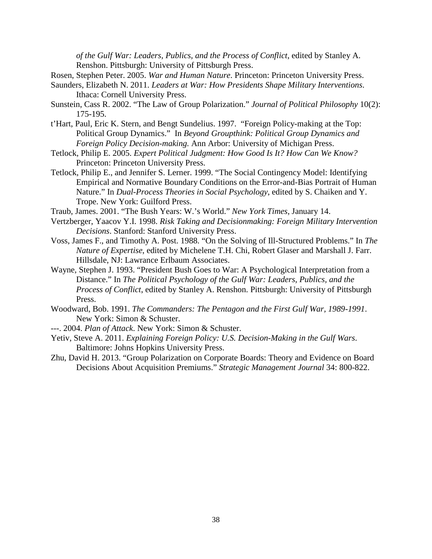*of the Gulf War: Leaders, Publics, and the Process of Conflict*, edited by Stanley A. Renshon. Pittsburgh: University of Pittsburgh Press.

- Rosen, Stephen Peter. 2005. *War and Human Nature*. Princeton: Princeton University Press.
- Saunders, Elizabeth N. 2011. *Leaders at War: How Presidents Shape Military Interventions*. Ithaca: Cornell University Press.
- Sunstein, Cass R. 2002. "The Law of Group Polarization." *Journal of Political Philosophy* 10(2): 175-195.
- t'Hart, Paul, Eric K. Stern, and Bengt Sundelius. 1997. "Foreign Policy-making at the Top: Political Group Dynamics." In *Beyond Groupthink: Political Group Dynamics and Foreign Policy Decision-making.* Ann Arbor: University of Michigan Press.
- Tetlock, Philip E. 2005. *Expert Political Judgment: How Good Is It? How Can We Know?* Princeton: Princeton University Press.
- Tetlock, Philip E., and Jennifer S. Lerner. 1999. "The Social Contingency Model: Identifying Empirical and Normative Boundary Conditions on the Error-and-Bias Portrait of Human Nature." In *Dual-Process Theories in Social Psychology*, edited by S. Chaiken and Y. Trope. New York: Guilford Press.
- Traub, James. 2001. "The Bush Years: W.'s World." *New York Times*, January 14.
- Vertzberger, Yaacov Y.I. 1998. *Risk Taking and Decisionmaking: Foreign Military Intervention Decisions*. Stanford: Stanford University Press.
- Voss, James F., and Timothy A. Post. 1988. "On the Solving of Ill-Structured Problems." In *The Nature of Expertise*, edited by Michelene T.H. Chi, Robert Glaser and Marshall J. Farr. Hillsdale, NJ: Lawrance Erlbaum Associates.
- Wayne, Stephen J. 1993. "President Bush Goes to War: A Psychological Interpretation from a Distance." In *The Political Psychology of the Gulf War: Leaders, Publics, and the Process of Conflict*, edited by Stanley A. Renshon. Pittsburgh: University of Pittsburgh Press.
- Woodward, Bob. 1991. *The Commanders: The Pentagon and the First Gulf War, 1989-1991*. New York: Simon & Schuster.
- ---. 2004. *Plan of Attack*. New York: Simon & Schuster.
- Yetiv, Steve A. 2011. *Explaining Foreign Policy: U.S. Decision-Making in the Gulf Wars*. Baltimore: Johns Hopkins University Press.
- Zhu, David H. 2013. "Group Polarization on Corporate Boards: Theory and Evidence on Board Decisions About Acquisition Premiums." *Strategic Management Journal* 34: 800-822.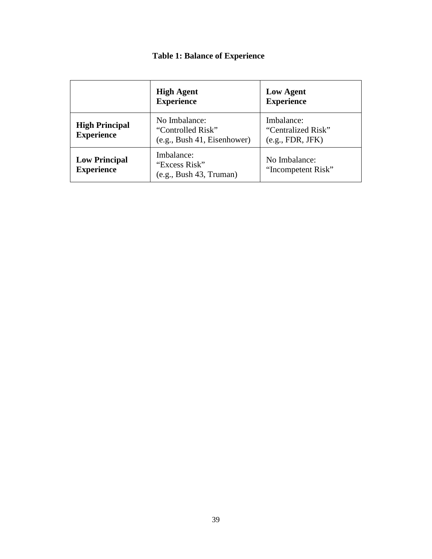# **Table 1: Balance of Experience**

|                                            | <b>High Agent</b><br><b>Experience</b>                              | <b>Low Agent</b><br><b>Experience</b>                |  |
|--------------------------------------------|---------------------------------------------------------------------|------------------------------------------------------|--|
| <b>High Principal</b><br><b>Experience</b> | No Imbalance:<br>"Controlled Risk"<br>(e.g., Bush 41, Eisenhowever) | Imbalance:<br>"Centralized Risk"<br>(e.g., FDR, JFK) |  |
| <b>Low Principal</b><br><b>Experience</b>  | Imbalance:<br>"Excess Risk"<br>(e.g., Bush 43, Truman)              | No Imbalance:<br>"Incompetent Risk"                  |  |